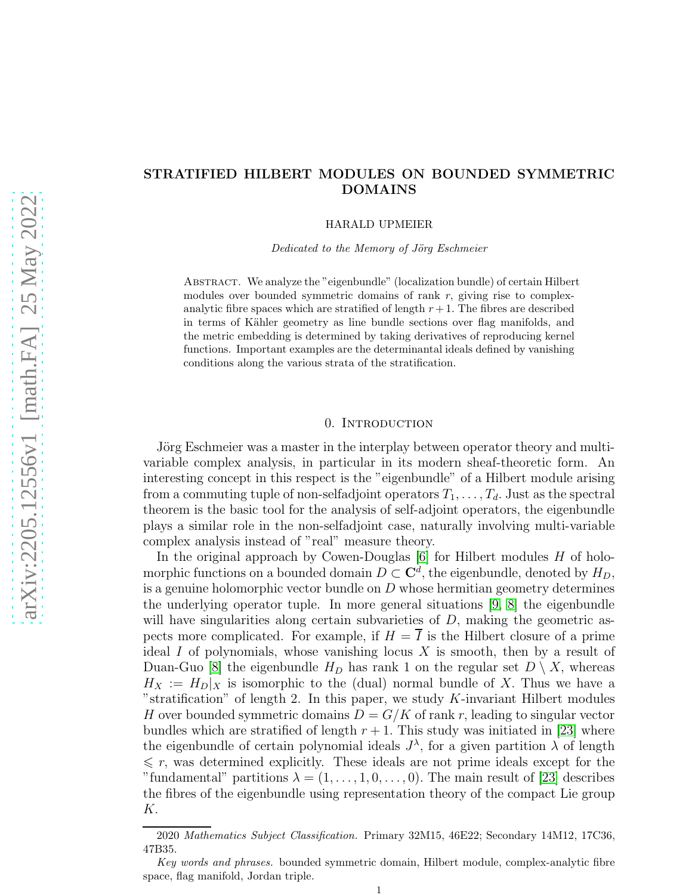# STRATIFIED HILBERT MODULES ON BOUNDED SYMMETRIC DOMAINS

HARALD UPMEIER

Dedicated to the Memory of Jörg Eschmeier

Abstract. We analyze the "eigenbundle" (localization bundle) of certain Hilbert modules over bounded symmetric domains of rank  $r$ , giving rise to complexanalytic fibre spaces which are stratified of length  $r + 1$ . The fibres are described in terms of Kähler geometry as line bundle sections over flag manifolds, and the metric embedding is determined by taking derivatives of reproducing kernel functions. Important examples are the determinantal ideals defined by vanishing conditions along the various strata of the stratification.

### 0. INTRODUCTION

Jörg Eschmeier was a master in the interplay between operator theory and multivariable complex analysis, in particular in its modern sheaf-theoretic form. An interesting concept in this respect is the "eigenbundle" of a Hilbert module arising from a commuting tuple of non-selfadjoint operators  $T_1, \ldots, T_d$ . Just as the spectral theorem is the basic tool for the analysis of self-adjoint operators, the eigenbundle plays a similar role in the non-selfadjoint case, naturally involving multi-variable complex analysis instead of "real" measure theory.

In the original approach by Cowen-Douglas  $[6]$  for Hilbert modules H of holomorphic functions on a bounded domain  $D \subset \mathbb{C}^d$ , the eigenbundle, denoted by  $H_D$ , is a genuine holomorphic vector bundle on  $D$  whose hermitian geometry determines the underlying operator tuple. In more general situations [\[9,](#page-25-1) [8\]](#page-25-2) the eigenbundle will have singularities along certain subvarieties of  $D$ , making the geometric aspects more complicated. For example, if  $H = I$  is the Hilbert closure of a prime ideal  $I$  of polynomials, whose vanishing locus  $X$  is smooth, then by a result of Duan-Guo [\[8\]](#page-25-2) the eigenbundle  $H_D$  has rank 1 on the regular set  $D \setminus X$ , whereas  $H_X := H_D|_X$  is isomorphic to the (dual) normal bundle of X. Thus we have a "stratification" of length 2. In this paper, we study  $K$ -invariant Hilbert modules H over bounded symmetric domains  $D = G/K$  of rank r, leading to singular vector bundles which are stratified of length  $r + 1$ . This study was initiated in [\[23\]](#page-26-0) where the eigenbundle of certain polynomial ideals  $J^{\lambda}$ , for a given partition  $\lambda$  of length  $\leq r$ , was determined explicitly. These ideals are not prime ideals except for the "fundamental" partitions  $\lambda = (1, \ldots, 1, 0, \ldots, 0)$ . The main result of [\[23\]](#page-26-0) describes the fibres of the eigenbundle using representation theory of the compact Lie group K.

<sup>2020</sup> Mathematics Subject Classification. Primary 32M15, 46E22; Secondary 14M12, 17C36, 47B35.

Key words and phrases. bounded symmetric domain, Hilbert module, complex-analytic fibre space, flag manifold, Jordan triple.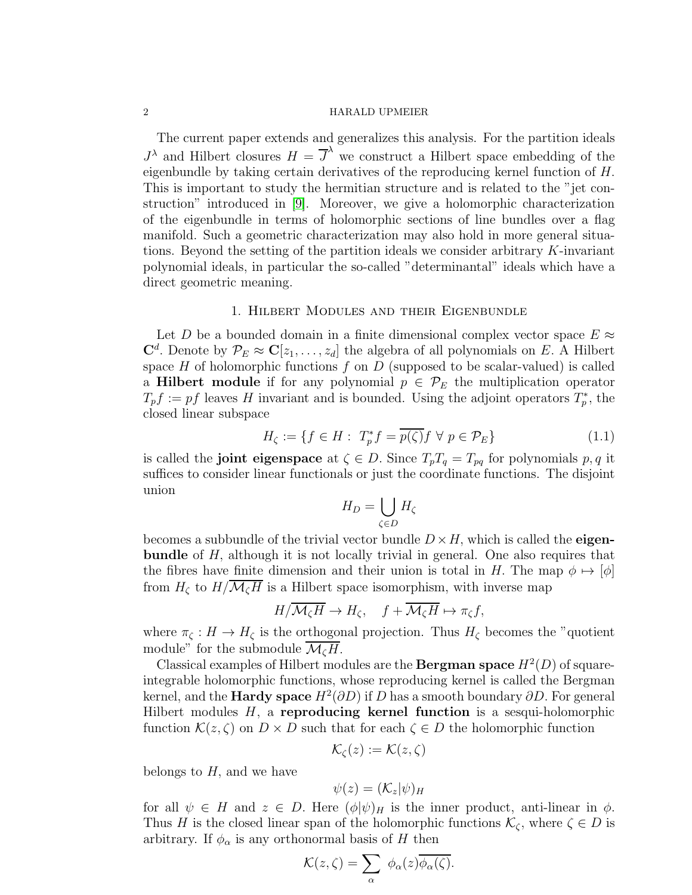The current paper extends and generalizes this analysis. For the partition ideals  $J^{\lambda}$  and Hilbert closures  $H = \overline{J}^{\lambda}$  we construct a Hilbert space embedding of the eigenbundle by taking certain derivatives of the reproducing kernel function of H. This is important to study the hermitian structure and is related to the "jet construction" introduced in [\[9\]](#page-25-1). Moreover, we give a holomorphic characterization of the eigenbundle in terms of holomorphic sections of line bundles over a flag manifold. Such a geometric characterization may also hold in more general situations. Beyond the setting of the partition ideals we consider arbitrary  $K$ -invariant polynomial ideals, in particular the so-called "determinantal" ideals which have a direct geometric meaning.

## 1. Hilbert Modules and their Eigenbundle

Let D be a bounded domain in a finite dimensional complex vector space  $E \approx$  $\mathbf{C}^d$ . Denote by  $\mathcal{P}_E \approx \mathbf{C}[z_1,\ldots,z_d]$  the algebra of all polynomials on E. A Hilbert space  $H$  of holomorphic functions  $f$  on  $D$  (supposed to be scalar-valued) is called a **Hilbert module** if for any polynomial  $p \in \mathcal{P}_E$  the multiplication operator  $T_p f := pf$  leaves H invariant and is bounded. Using the adjoint operators  $T_p^*$ , the closed linear subspace

<span id="page-1-0"></span>
$$
H_{\zeta} := \{ f \in H : T_p^* f = \overline{p(\zeta)} f \ \forall \ p \in \mathcal{P}_E \} \tag{1.1}
$$

is called the **joint eigenspace** at  $\zeta \in D$ . Since  $T_p T_q = T_{pq}$  for polynomials p, q it suffices to consider linear functionals or just the coordinate functions. The disjoint union

$$
H_D = \bigcup_{\zeta \in D} H_{\zeta}
$$

becomes a subbundle of the trivial vector bundle  $D \times H$ , which is called the **eigen**bundle of H, although it is not locally trivial in general. One also requires that the fibres have finite dimension and their union is total in H. The map  $\phi \mapsto [\phi]$ from  $H_{\zeta}$  to  $H/\overline{\mathcal{M}_{\zeta}H}$  is a Hilbert space isomorphism, with inverse map

$$
H/\overline{\mathcal{M}_{\zeta}H} \to H_{\zeta}, \quad f + \overline{\mathcal{M}_{\zeta}H} \mapsto \pi_{\zeta}f,
$$

where  $\pi_{\zeta}: H \to H_{\zeta}$  is the orthogonal projection. Thus  $H_{\zeta}$  becomes the "quotient" module" for the submodule  $\overline{\mathcal{M}_{\zeta}H}$ .

Classical examples of Hilbert modules are the **Bergman space**  $H^2(D)$  of squareintegrable holomorphic functions, whose reproducing kernel is called the Bergman kernel, and the **Hardy space**  $H^2(\partial D)$  if  $D$  has a smooth boundary  $\partial D$ . For general Hilbert modules  $H$ , a reproducing kernel function is a sesqui-holomorphic function  $\mathcal{K}(z,\zeta)$  on  $D\times D$  such that for each  $\zeta\in D$  the holomorphic function

$$
\mathcal{K}_{\zeta}(z):=\mathcal{K}(z,\zeta)
$$

belongs to  $H$ , and we have

$$
\psi(z) = (\mathcal{K}_z|\psi)_{H}
$$

for all  $\psi \in H$  and  $z \in D$ . Here  $(\phi | \psi)_H$  is the inner product, anti-linear in  $\phi$ . Thus H is the closed linear span of the holomorphic functions  $\mathcal{K}_{\zeta}$ , where  $\zeta \in D$  is arbitrary. If  $\phi_{\alpha}$  is any orthonormal basis of H then

$$
\mathcal{K}(z,\zeta)=\sum_{\alpha} \phi_{\alpha}(z)\overline{\phi_{\alpha}(\zeta)}.
$$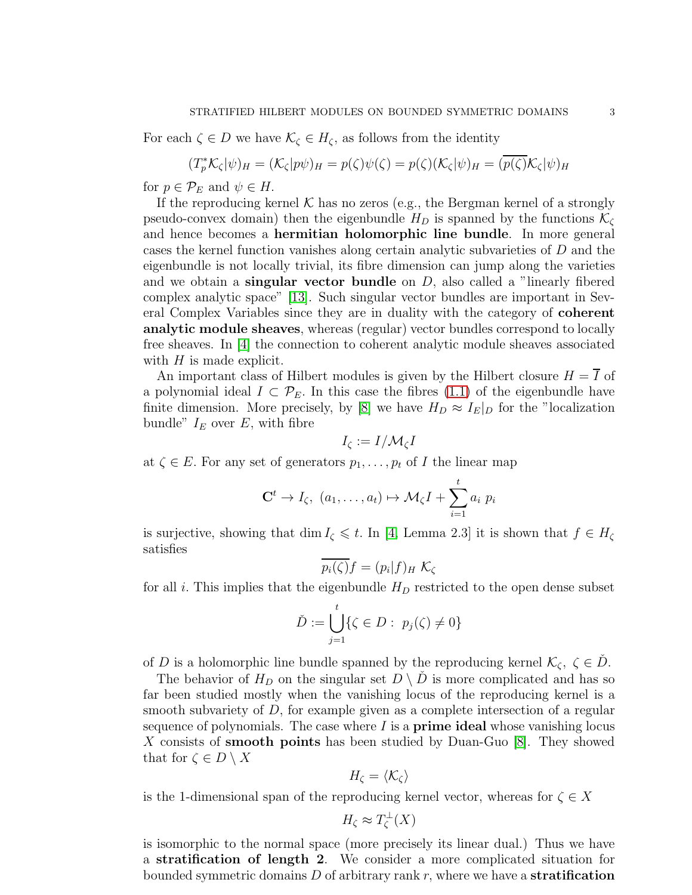For each  $\zeta \in D$  we have  $\mathcal{K}_{\zeta} \in H_{\zeta}$ , as follows from the identity

$$
(T_p^* \mathcal{K}_{\zeta} | \psi)_H = (\mathcal{K}_{\zeta} | p\psi)_H = p(\zeta) \psi(\zeta) = p(\zeta) (\mathcal{K}_{\zeta} | \psi)_H = (\overline{p(\zeta)} \mathcal{K}_{\zeta} | \psi)_H
$$

for  $p \in \mathcal{P}_E$  and  $\psi \in H$ .

If the reproducing kernel  $K$  has no zeros (e.g., the Bergman kernel of a strongly pseudo-convex domain) then the eigenbundle  $H_D$  is spanned by the functions  $\mathcal{K}_{\zeta}$ and hence becomes a hermitian holomorphic line bundle. In more general cases the kernel function vanishes along certain analytic subvarieties of D and the eigenbundle is not locally trivial, its fibre dimension can jump along the varieties and we obtain a singular vector bundle on  $D$ , also called a "linearly fibered complex analytic space" [\[13\]](#page-25-3). Such singular vector bundles are important in Several Complex Variables since they are in duality with the category of coherent analytic module sheaves, whereas (regular) vector bundles correspond to locally free sheaves. In [\[4\]](#page-25-4) the connection to coherent analytic module sheaves associated with  $H$  is made explicit.

An important class of Hilbert modules is given by the Hilbert closure  $H = \overline{I}$  of a polynomial ideal  $I \subset \mathcal{P}_E$ . In this case the fibres [\(1.1\)](#page-1-0) of the eigenbundle have finite dimension. More precisely, by [\[8\]](#page-25-2) we have  $H_D \approx I_E|_D$  for the "localization" bundle"  $I_E$  over E, with fibre

$$
I_{\zeta}:=I/\mathcal{M}_{\zeta}I
$$

at  $\zeta \in E$ . For any set of generators  $p_1, \ldots, p_t$  of I the linear map

$$
\mathbf{C}^t \to I_{\zeta}, \ (a_1, \ldots, a_t) \mapsto \mathcal{M}_{\zeta}I + \sum_{i=1}^t a_i \ p_i
$$

is surjective, showing that dim  $I_{\zeta} \leq t$ . In [\[4,](#page-25-4) Lemma 2.3] it is shown that  $f \in H_{\zeta}$ satisfies

$$
p_i(\zeta)f = (p_i|f)_H \mathcal{K}_\zeta
$$

for all i. This implies that the eigenbundle  $H_D$  restricted to the open dense subset

$$
\check{D} := \bigcup_{j=1}^t \{ \zeta \in D : \ p_j(\zeta) \neq 0 \}
$$

of D is a holomorphic line bundle spanned by the reproducing kernel  $\mathcal{K}_{\zeta}, \zeta \in D$ .

The behavior of  $H_D$  on the singular set  $D \setminus D$  is more complicated and has so far been studied mostly when the vanishing locus of the reproducing kernel is a smooth subvariety of  $D$ , for example given as a complete intersection of a regular sequence of polynomials. The case where  $I$  is a **prime ideal** whose vanishing locus X consists of **smooth points** has been studied by Duan-Guo [\[8\]](#page-25-2). They showed that for  $\zeta \in D \setminus X$ 

$$
H_{\zeta}=\langle \mathcal{K}_{\zeta}\rangle
$$

is the 1-dimensional span of the reproducing kernel vector, whereas for  $\zeta \in X$ 

$$
H_{\zeta} \approx T_{\zeta}^{\perp}(X)
$$

is isomorphic to the normal space (more precisely its linear dual.) Thus we have a stratification of length 2. We consider a more complicated situation for bounded symmetric domains  $D$  of arbitrary rank  $r$ , where we have a **stratification**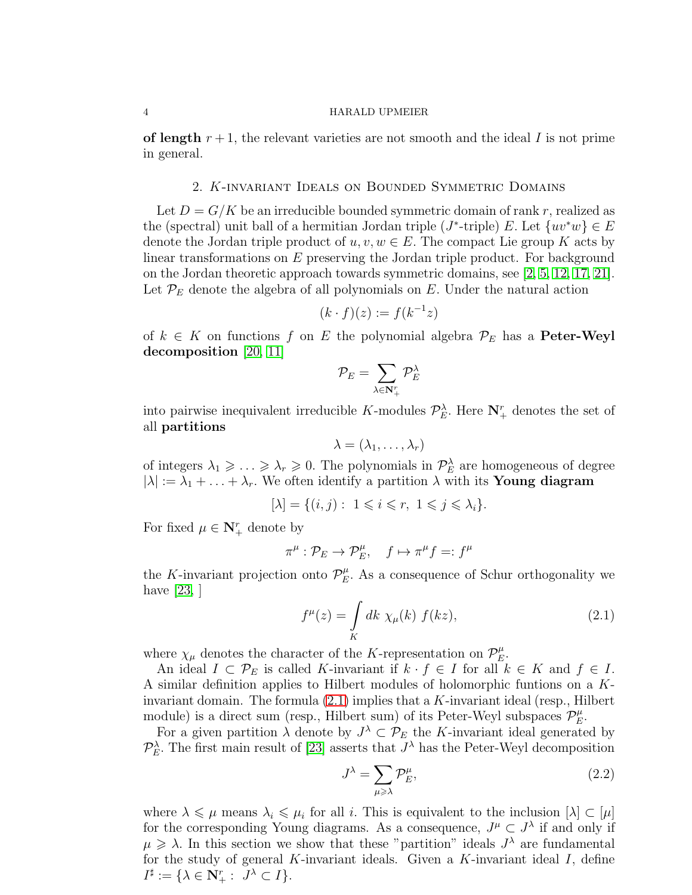of length  $r+1$ , the relevant varieties are not smooth and the ideal I is not prime in general.

# 2. K-invariant Ideals on Bounded Symmetric Domains

Let  $D = G/K$  be an irreducible bounded symmetric domain of rank r, realized as the (spectral) unit ball of a hermitian Jordan triple (J<sup>\*</sup>-triple) E. Let  $\{uv^*w\} \in E$ denote the Jordan triple product of  $u, v, w \in E$ . The compact Lie group K acts by linear transformations on E preserving the Jordan triple product. For background on the Jordan theoretic approach towards symmetric domains, see [\[2,](#page-25-5) [5,](#page-25-6) [12,](#page-25-7) [17,](#page-25-8) [21\]](#page-25-9). Let  $\mathcal{P}_E$  denote the algebra of all polynomials on E. Under the natural action

$$
(k \cdot f)(z) := f(k^{-1}z)
$$

of  $k \in K$  on functions f on E the polynomial algebra  $\mathcal{P}_E$  has a **Peter-Weyl** decomposition [\[20,](#page-25-10) [11\]](#page-25-11)

$$
\mathcal{P}_E = \sum_{\lambda \in \mathbf{N}_+^r } \mathcal{P}_E^{\lambda}
$$

into pairwise inequivalent irreducible K-modules  $\mathcal{P}_E^{\lambda}$ . Here  $N_{+}^{r}$  denotes the set of all partitions

$$
\lambda=(\lambda_1,\ldots,\lambda_r)
$$

of integers  $\lambda_1 \geq \ldots \geq \lambda_r \geq 0$ . The polynomials in  $\mathcal{P}_E^{\lambda}$  are homogeneous of degree  $|\lambda| := \lambda_1 + \ldots + \lambda_r$ . We often identify a partition  $\lambda$  with its **Young diagram** 

$$
[\lambda] = \{(i, j): 1 \leq i \leq r, 1 \leq j \leq \lambda_i\}.
$$

For fixed  $\mu \in \mathbf{N}_{+}^{r}$  denote by

$$
\pi^\mu: \mathcal{P}_E \to \mathcal{P}_E^\mu, \quad f \mapsto \pi^\mu f =: f^\mu
$$

the K-invariant projection onto  $\mathcal{P}_E^{\mu}$  $E<sub>E</sub>$ . As a consequence of Schur orthogonality we have [\[23,](#page-26-0) ]

<span id="page-3-0"></span>
$$
f^{\mu}(z) = \int\limits_K dk \ \chi_{\mu}(k) \ f(kz), \tag{2.1}
$$

where  $\chi_{\mu}$  denotes the character of the K-representation on  $\mathcal{P}_E^{\mu}$  $_E^\mu$ .

An ideal  $I \subset \mathcal{P}_E$  is called K-invariant if  $k \cdot f \in I$  for all  $k \in K$  and  $f \in I$ . A similar definition applies to Hilbert modules of holomorphic funtions on a Kinvariant domain. The formula [\(2.1\)](#page-3-0) implies that a K-invariant ideal (resp., Hilbert module) is a direct sum (resp., Hilbert sum) of its Peter-Weyl subspaces  $\mathcal{P}_E^{\mu}$  $_E^\mu$ .

For a given partition  $\lambda$  denote by  $J^{\lambda} \subset \mathcal{P}_E$  the K-invariant ideal generated by  $\mathcal{P}_E^{\lambda}$ . The first main result of [\[23\]](#page-26-0) asserts that  $J^{\lambda}$  has the Peter-Weyl decomposition

<span id="page-3-1"></span>
$$
J^{\lambda} = \sum_{\mu \geqslant \lambda} \mathcal{P}_E^{\mu},\tag{2.2}
$$

where  $\lambda \leq \mu$  means  $\lambda_i \leq \mu_i$  for all i. This is equivalent to the inclusion  $[\lambda] \subset [\mu]$ for the corresponding Young diagrams. As a consequence,  $J^{\mu} \subset J^{\lambda}$  if and only if  $\mu \geq \lambda$ . In this section we show that these "partition" ideals  $J^{\lambda}$  are fundamental for the study of general  $K$ -invariant ideals. Given a  $K$ -invariant ideal  $I$ , define  $I^{\sharp} := \{ \lambda \in \mathbf{N}_{+}^{r} : J^{\lambda} \subset I \}.$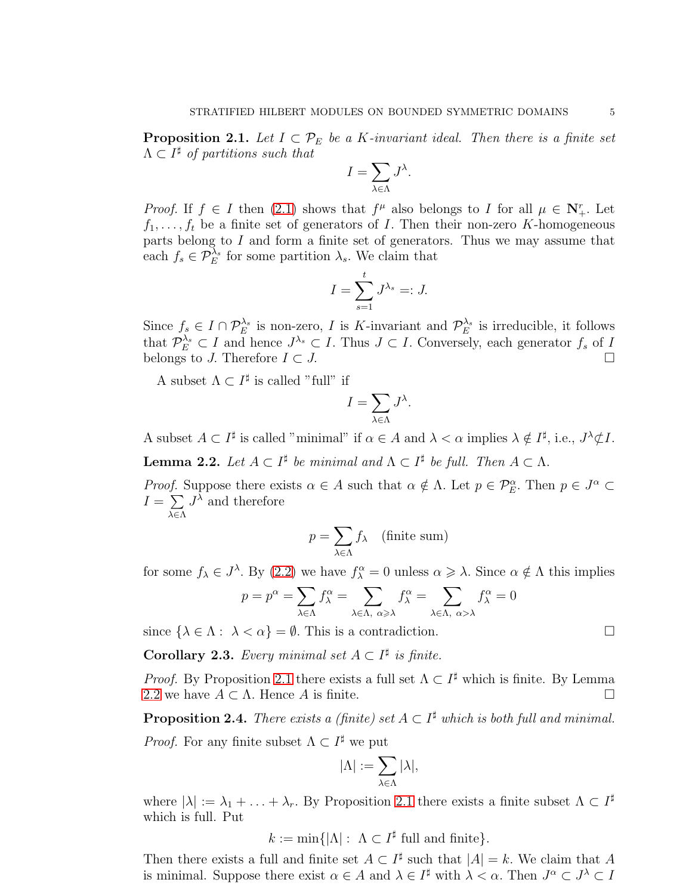<span id="page-4-0"></span>**Proposition 2.1.** Let  $I \subset \mathcal{P}_E$  be a K-invariant ideal. Then there is a finite set  $\Lambda \subset I^{\sharp}$  of partitions such that

$$
I = \sum_{\lambda \in \Lambda} J^{\lambda}.
$$

*Proof.* If  $f \in I$  then [\(2.1\)](#page-3-0) shows that  $f^{\mu}$  also belongs to I for all  $\mu \in \mathbb{N}_{+}^{r}$ . Let  $f_1, \ldots, f_t$  be a finite set of generators of I. Then their non-zero K-homogeneous parts belong to  $I$  and form a finite set of generators. Thus we may assume that each  $f_s \in \mathcal{P}_E^{\lambda_s}$  for some partition  $\lambda_s$ . We claim that

$$
I = \sum_{s=1}^{t} J^{\lambda_s} =: J.
$$

Since  $f_s \in I \cap \mathcal{P}_E^{\lambda_s}$  is non-zero, I is K-invariant and  $\mathcal{P}_E^{\lambda_s}$  is irreducible, it follows that  $\mathcal{P}_E^{\lambda_s} \subset I$  and hence  $J^{\lambda_s} \subset I$ . Thus  $J \subset I$ . Conversely, each generator  $f_s$  of  $I$ belongs to J. Therefore  $I \subset J$ .

A subset  $\Lambda \subset I^{\sharp}$  is called "full" if

$$
I = \sum_{\lambda \in \Lambda} J^{\lambda}.
$$

A subset  $A \subset I^{\sharp}$  is called "minimal" if  $\alpha \in A$  and  $\lambda < \alpha$  implies  $\lambda \notin I^{\sharp}$ , i.e.,  $J^{\lambda} \nsubseteq I$ .

<span id="page-4-1"></span>**Lemma 2.2.** Let  $A \subset I^{\sharp}$  be minimal and  $\Lambda \subset I^{\sharp}$  be full. Then  $A \subset \Lambda$ .

Proof. Suppose there exists  $\alpha \in A$  such that  $\alpha \notin \Lambda$ . Let  $p \in \mathcal{P}_E^{\alpha}$ . Then  $p \in J^{\alpha} \subset I$  $I=\sum$ λ∈Λ  $J^{\lambda}$  and therefore

$$
p = \sum_{\lambda \in \Lambda} f_{\lambda} \quad \text{(finite sum)}
$$

for some  $f_{\lambda} \in J^{\lambda}$ . By [\(2.2\)](#page-3-1) we have  $f_{\lambda}^{\alpha} = 0$  unless  $\alpha \geq \lambda$ . Since  $\alpha \notin \Lambda$  this implies

$$
p = p^{\alpha} = \sum_{\lambda \in \Lambda} f^{\alpha}_{\lambda} = \sum_{\lambda \in \Lambda, \ \alpha \geq \lambda} f^{\alpha}_{\lambda} = \sum_{\lambda \in \Lambda, \ \alpha > \lambda} f^{\alpha}_{\lambda} = 0
$$

since  $\{\lambda \in \Lambda : \lambda < \alpha\} = \emptyset$ . This is a contradiction.

**Corollary 2.3.** Every minimal set  $A \subset I^{\sharp}$  is finite.

*Proof.* By Proposition [2.1](#page-4-0) there exists a full set  $\Lambda \subset I^{\sharp}$  which is finite. By Lemma [2.2](#page-4-1) we have  $A \subset \Lambda$ . Hence A is finite.

**Proposition 2.4.** There exists a (finite) set  $A \subset I^{\sharp}$  which is both full and minimal.

*Proof.* For any finite subset  $\Lambda \subset I^{\sharp}$  we put

$$
|\Lambda|:=\sum_{\lambda\in\Lambda}|\lambda|,
$$

where  $|\lambda| := \lambda_1 + \ldots + \lambda_r$ . By Proposition [2.1](#page-4-0) there exists a finite subset  $\Lambda \subset I^{\sharp}$ which is full. Put

 $k := \min\{|\Lambda| : \Lambda \subset I^{\sharp} \text{ full and finite}\}.$ 

Then there exists a full and finite set  $A \subset I^{\sharp}$  such that  $|A| = k$ . We claim that A is minimal. Suppose there exist  $\alpha \in A$  and  $\lambda \in I^{\sharp}$  with  $\lambda < \alpha$ . Then  $J^{\alpha} \subset J^{\lambda} \subset I$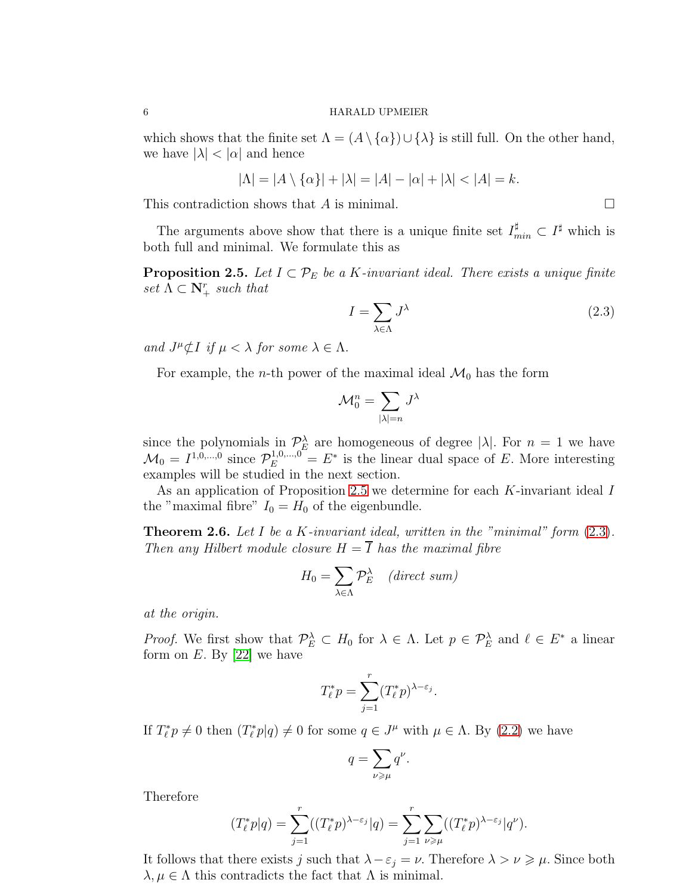which shows that the finite set  $\Lambda = (A \setminus \{ \alpha \}) \cup \{ \lambda \}$  is still full. On the other hand, we have  $|\lambda| < |\alpha|$  and hence

$$
|\Lambda| = |A \setminus \{\alpha\}| + |\lambda| = |A| - |\alpha| + |\lambda| < |A| = k.
$$

This contradiction shows that A is minimal.  $\Box$ 

The arguments above show that there is a unique finite set  $I_{min}^{\sharp} \subset I^{\sharp}$  which is both full and minimal. We formulate this as

<span id="page-5-0"></span>**Proposition 2.5.** Let  $I \subset \mathcal{P}_E$  be a K-invariant ideal. There exists a unique finite  $set \Lambda \subset \mathbf{N}_{+}^{r} such that$ 

<span id="page-5-1"></span>
$$
I = \sum_{\lambda \in \Lambda} J^{\lambda} \tag{2.3}
$$

and  $J^{\mu}\not\subset I$  if  $\mu < \lambda$  for some  $\lambda \in \Lambda$ .

For example, the *n*-th power of the maximal ideal  $\mathcal{M}_0$  has the form

$$
\mathcal{M}_0^n = \sum_{|\lambda|=n} J^{\lambda}
$$

since the polynomials in  $\mathcal{P}_{\alpha}^{\lambda}$  are homogeneous of degree  $|\lambda|$ . For  $n = 1$  we have  $\mathcal{M}_0 = I^{1,0,\dots,0}$  since  $\mathcal{P}_E^{1,0,\dots,0} = E^*$  is the linear dual space of E. More interesting examples will be studied in the next section.

As an application of Proposition [2.5](#page-5-0) we determine for each K-invariant ideal I the "maximal fibre"  $I_0 = H_0$  of the eigenbundle.

<span id="page-5-2"></span>**Theorem 2.6.** Let I be a K-invariant ideal, written in the "minimal" form  $(2.3)$ . Then any Hilbert module closure  $H = \overline{I}$  has the maximal fibre

$$
H_0 = \sum_{\lambda \in \Lambda} \mathcal{P}_E^{\lambda} \quad (direct \ sum)
$$

at the origin.

Proof. We first show that  $\mathcal{P}_E^{\lambda} \subset H_0$  for  $\lambda \in \Lambda$ . Let  $p \in \mathcal{P}_E^{\lambda}$  and  $\ell \in E^*$  a linear form on  $E$ . By [\[22\]](#page-26-1) we have

$$
T_{\ell}^* p = \sum_{j=1}^r (T_{\ell}^* p)^{\lambda - \varepsilon_j}.
$$

If  $T_{\ell}^* p \neq 0$  then  $(T_{\ell}^* p | q) \neq 0$  for some  $q \in J^{\mu}$  with  $\mu \in \Lambda$ . By [\(2.2\)](#page-3-1) we have

$$
q = \sum_{\nu \geqslant \mu} q^{\nu}.
$$

Therefore

$$
(T_{\ell}^* p|q) = \sum_{j=1}^r ((T_{\ell}^* p)^{\lambda-\varepsilon_j} |q) = \sum_{j=1}^r \sum_{\nu \geq \mu} ((T_{\ell}^* p)^{\lambda-\varepsilon_j} |q^{\nu}).
$$

It follows that there exists j such that  $\lambda - \varepsilon_j = \nu$ . Therefore  $\lambda > \nu \geq \mu$ . Since both  $\lambda, \mu \in \Lambda$  this contradicts the fact that  $\Lambda$  is minimal.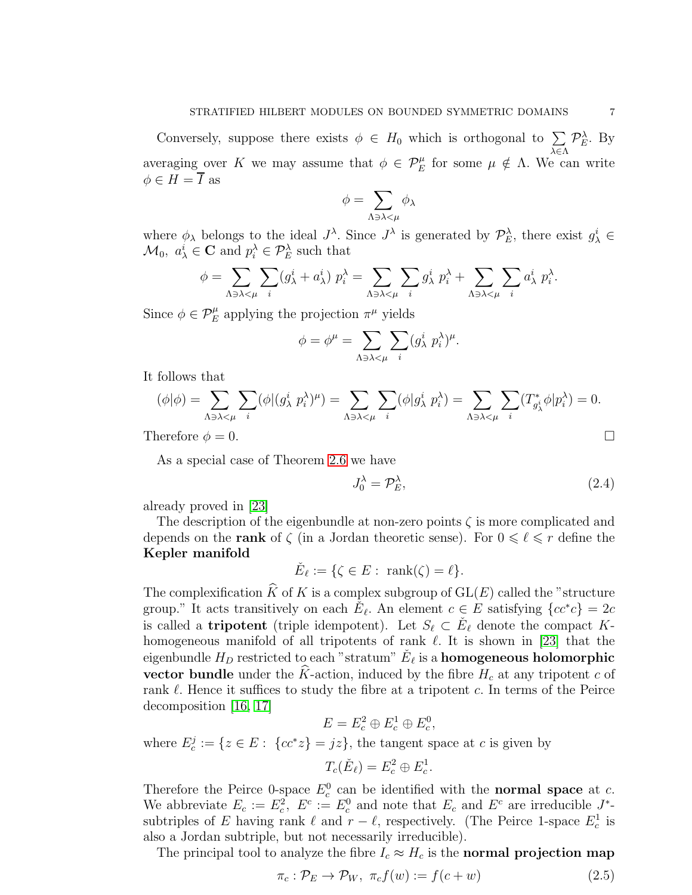Conversely, suppose there exists  $\phi \in H_0$  which is orthogonal to  $\sum_{\lambda \in \Lambda} \mathcal{P}_E^{\lambda}$ . By averaging over K we may assume that  $\phi \in \mathcal{P}_E^{\mu}$  for some  $\mu \notin \Lambda$ . We can write  $\phi \in H = \overline{I}$  as

$$
\phi = \sum_{\Lambda \ni \lambda < \mu} \phi_\lambda
$$

where  $\phi_{\lambda}$  belongs to the ideal  $J^{\lambda}$ . Since  $J^{\lambda}$  is generated by  $\mathcal{P}_{E}^{\lambda}$ , there exist  $g_{\lambda}^{i} \in$  $\mathcal{M}_0, a^i_\lambda \in \mathbf{C}$  and  $p_i^\lambda \in \mathcal{P}_E^\lambda$  such that

$$
\phi = \sum_{\Lambda \ni \lambda < \mu} \sum_{i} (g_{\lambda}^i + a_{\lambda}^i) \ p_i^{\lambda} = \sum_{\Lambda \ni \lambda < \mu} \sum_{i} g_{\lambda}^i \ p_i^{\lambda} + \sum_{\Lambda \ni \lambda < \mu} \sum_{i} a_{\lambda}^i \ p_i^{\lambda}.
$$

Since  $\phi \in \mathcal{P}_E^{\mu}$  applying the projection  $\pi^{\mu}$  yields

$$
\phi = \phi^{\mu} = \sum_{\Lambda \ni \lambda < \mu} \sum_{i} (g_{\lambda}^{i} p_{i}^{\lambda})^{\mu}.
$$

It follows that

$$
(\phi|\phi) = \sum_{\Lambda \ni \lambda < \mu} \sum_{i} (\phi|(g_{\lambda}^{i} p_{i}^{\lambda})^{\mu}) = \sum_{\Lambda \ni \lambda < \mu} \sum_{i} (\phi|g_{\lambda}^{i} p_{i}^{\lambda}) = \sum_{\Lambda \ni \lambda < \mu} \sum_{i} (T_{g_{\lambda}^{i}}^* \phi|p_{i}^{\lambda}) = 0.
$$

Therefore  $\phi = 0$ .

As a special case of Theorem [2.6](#page-5-2) we have

<span id="page-6-1"></span>
$$
J_0^{\lambda} = \mathcal{P}_E^{\lambda},\tag{2.4}
$$

already proved in [\[23\]](#page-26-0)

The description of the eigenbundle at non-zero points  $\zeta$  is more complicated and depends on the **rank** of  $\zeta$  (in a Jordan theoretic sense). For  $0 \leq \ell \leq r$  define the Kepler manifold

$$
\check{E}_{\ell} := \{ \zeta \in E : \text{ rank}(\zeta) = \ell \}.
$$

The complexification  $\widehat{K}$  of K is a complex subgroup of  $GL(E)$  called the "structure" group." It acts transitively on each  $\check{E}_{\ell}$ . An element  $c \in E$  satisfying  $\{cc^*c\} = 2c$ is called a **tripotent** (triple idempotent). Let  $S_{\ell} \subset \check{E}_{\ell}$  denote the compact Khomogeneous manifold of all tripotents of rank  $\ell$ . It is shown in [\[23\]](#page-26-0) that the eigenbundle  $H_D$  restricted to each "stratum"  $\check{E}_\ell$  is a homogeneous holomorphic vector bundle under the  $\hat{K}$ -action, induced by the fibre  $H_c$  at any tripotent c of rank  $\ell$ . Hence it suffices to study the fibre at a tripotent c. In terms of the Peirce decomposition [\[16,](#page-25-12) [17\]](#page-25-8)

$$
E = E_c^2 \oplus E_c^1 \oplus E_c^0,
$$

where  $E_c^j := \{z \in E: \{cc^*z\} = jz\}$ , the tangent space at c is given by

$$
T_c(\check{E}_{\ell})=E_c^2\oplus E_c^1.
$$

Therefore the Peirce 0-space  $E_c^0$  can be identified with the **normal space** at c. We abbreviate  $E_c := E_c^2$ ,  $E^c := E_c^0$  and note that  $E_c$  and  $E^c$  are irreducible  $J^*$ subtriples of E having rank  $\ell$  and  $r - \ell$ , respectively. (The Peirce 1-space  $E_c^1$  is also a Jordan subtriple, but not necessarily irreducible).

The principal tool to analyze the fibre  $I_c \approx H_c$  is the **normal projection map** 

<span id="page-6-0"></span>
$$
\pi_c: \mathcal{P}_E \to \mathcal{P}_W, \ \pi_c f(w) := f(c+w) \tag{2.5}
$$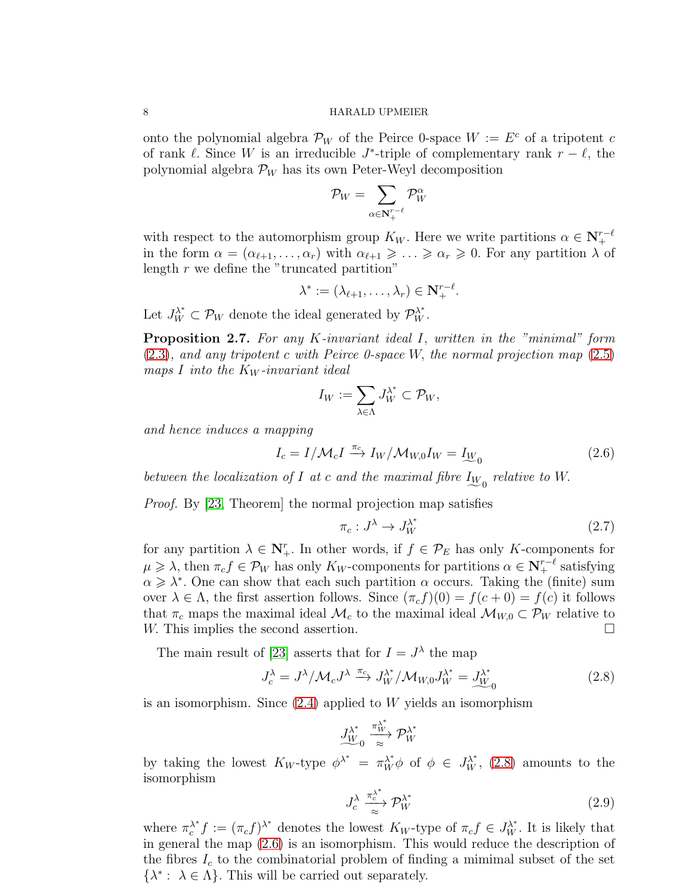onto the polynomial algebra  $\mathcal{P}_W$  of the Peirce 0-space  $W := E^c$  of a tripotent c of rank  $\ell$ . Since W is an irreducible  $J^*$ -triple of complementary rank  $r - \ell$ , the polynomial algebra  $\mathcal{P}_W$  has its own Peter-Weyl decomposition

$$
\mathcal{P}_W = \sum_{\alpha \in \mathbf{N}_+^{r-\ell}} \mathcal{P}_W^{\alpha}
$$

with respect to the automorphism group  $K_W$ . Here we write partitions  $\alpha \in \mathbb{N}_+^{r-\ell}$ in the form  $\alpha = (\alpha_{\ell+1}, \ldots, \alpha_r)$  with  $\alpha_{\ell+1} \geqslant \ldots \geqslant \alpha_r \geqslant 0$ . For any partition  $\lambda$  of length  $r$  we define the "truncated partition"

$$
\lambda^* := (\lambda_{\ell+1}, \ldots, \lambda_r) \in \mathbf{N}^{r-\ell}_+.
$$

Let  $J_W^{\lambda^*} \subset \mathcal{P}_W$  denote the ideal generated by  $\mathcal{P}_W^{\lambda^*}$ .

Proposition 2.7. For any K-invariant ideal I, written in the "minimal" form [\(2.3\)](#page-5-1), and any tripotent c with Peirce 0-space W, the normal projection map [\(2.5\)](#page-6-0) maps I into the  $K_W$ -invariant ideal

$$
I_W:=\sum_{\lambda\in\Lambda}J_W^{\lambda^*}\subset\mathcal{P}_W,
$$

and hence induces a mapping

<span id="page-7-1"></span>
$$
I_c = I/\mathcal{M}_c I \xrightarrow{\pi_c} I_W/\mathcal{M}_{W,0} I_W = I_{\underline{W}_0}
$$
\n(2.6)

between the localization of I at c and the maximal fibre  $I_{W_0}$  relative to W.

*Proof.* By [\[23,](#page-26-0) Theorem] the normal projection map satisfies

<span id="page-7-2"></span>
$$
\pi_c: J^{\lambda} \to J^{\lambda^*}_W \tag{2.7}
$$

for any partition  $\lambda \in \mathbb{N}_{+}^{r}$ . In other words, if  $f \in \mathcal{P}_E$  has only K-components for  $\mu \geqslant \lambda$ , then  $\pi_c f \in \mathcal{P}_W$  has only  $K_W$ -components for partitions  $\alpha \in \mathbf{N}_{+}^{r-\ell}$  satisfying  $\alpha \geq \lambda^*$ . One can show that each such partition  $\alpha$  occurs. Taking the (finite) sum over  $\lambda \in \Lambda$ , the first assertion follows. Since  $(\pi_c f)(0) = f(c+0) = f(c)$  it follows that  $\pi_c$  maps the maximal ideal  $\mathcal{M}_c$  to the maximal ideal  $\mathcal{M}_{W,0} \subset \mathcal{P}_W$  relative to  $W$ . This implies the second assertion. W. This implies the second assertion.

The main result of [\[23\]](#page-26-0) asserts that for  $I = J^{\lambda}$  the map

<span id="page-7-0"></span>
$$
J_c^{\lambda} = J^{\lambda}/\mathcal{M}_c J^{\lambda} \xrightarrow{\pi_c} J_W^{\lambda^*}/\mathcal{M}_{W,0} J_W^{\lambda^*} = \underline{J_{W}}^{\lambda^*}_{0}
$$
 (2.8)

is an isomorphism. Since  $(2.4)$  applied to W yields an isomorphism

$$
J_{W}^{\lambda^*} \xrightarrow[\approx]{\pi_W^{\lambda^*}} \mathcal{P}_W^{\lambda^*}
$$

by taking the lowest  $K_W$ -type  $\phi^{\lambda^*} = \pi_W^{\lambda^*} \phi$  of  $\phi \in J_W^{\lambda^*}$ , [\(2.8\)](#page-7-0) amounts to the isomorphism

<span id="page-7-3"></span>
$$
J_c^{\lambda} \xrightarrow[\approx]{\pi_c^{\lambda^*}} \mathcal{P}_W^{\lambda^*}
$$
 (2.9)

where  $\pi_c^{\lambda^*}$  $\lambda^*$   $f := (\pi_c f)^{\lambda^*}$  denotes the lowest  $K_W$ -type of  $\pi_c f \in J_W^{\lambda^*}$ . It is likely that in general the map [\(2.6\)](#page-7-1) is an isomorphism. This would reduce the description of the fibres  $I_c$  to the combinatorial problem of finding a mimimal subset of the set  $\{\lambda^* : \lambda \in \Lambda\}$ . This will be carried out separately.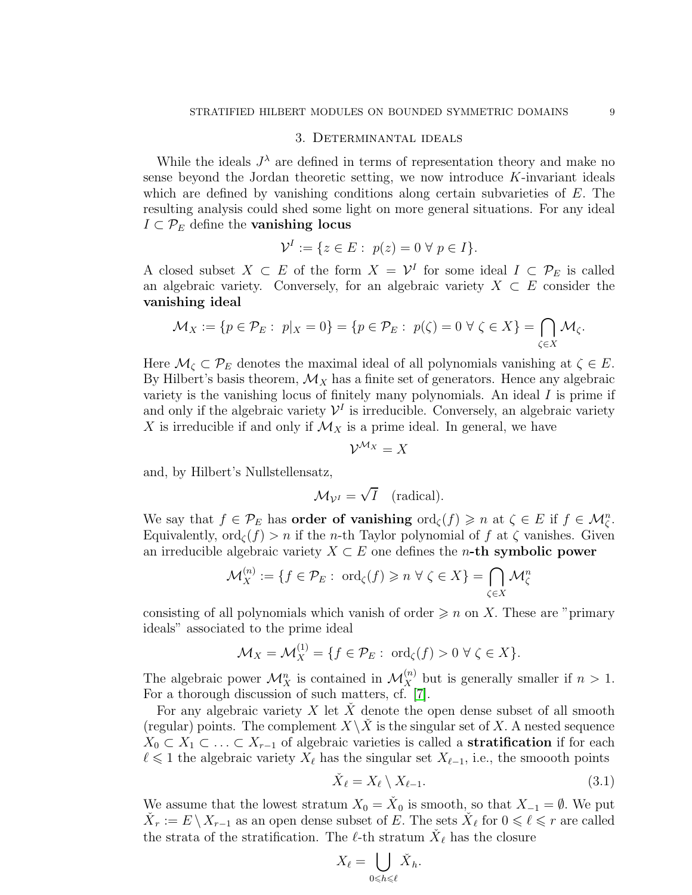# 3. Determinantal ideals

While the ideals  $J^{\lambda}$  are defined in terms of representation theory and make no sense beyond the Jordan theoretic setting, we now introduce  $K$ -invariant ideals which are defined by vanishing conditions along certain subvarieties of E. The resulting analysis could shed some light on more general situations. For any ideal  $I \subset \mathcal{P}_E$  define the **vanishing locus** 

$$
\mathcal{V}^I := \{ z \in E : \ p(z) = 0 \ \forall \ p \in I \}.
$$

A closed subset  $X \subset E$  of the form  $X = \mathcal{V}^I$  for some ideal  $I \subset \mathcal{P}_E$  is called an algebraic variety. Conversely, for an algebraic variety  $X \subset E$  consider the vanishing ideal

$$
\mathcal{M}_X:=\{p\in\mathcal{P}_E:\ p|_X=0\}=\{p\in\mathcal{P}_E:\ p(\zeta)=0\ \forall\ \zeta\in X\}=\bigcap_{\zeta\in X}\mathcal{M}_\zeta.
$$

Here  $\mathcal{M}_{\zeta} \subset \mathcal{P}_E$  denotes the maximal ideal of all polynomials vanishing at  $\zeta \in E$ . By Hilbert's basis theorem,  $\mathcal{M}_X$  has a finite set of generators. Hence any algebraic variety is the vanishing locus of finitely many polynomials. An ideal  $I$  is prime if and only if the algebraic variety  $\mathcal{V}^I$  is irreducible. Conversely, an algebraic variety X is irreducible if and only if  $\mathcal{M}_X$  is a prime ideal. In general, we have

$$
\mathcal{V}^{\mathcal{M}_X}=X
$$

and, by Hilbert's Nullstellensatz,

$$
\mathcal{M}_{\mathcal{V}^I} = \sqrt{I} \quad \text{(radical)}.
$$

We say that  $f \in \mathcal{P}_E$  has **order of vanishing**  $\text{ord}_{\zeta}(f) \geq n$  at  $\zeta \in E$  if  $f \in \mathcal{M}_{\zeta}^n$ . Equivalently,  $\text{ord}_{\mathcal{C}}(f) > n$  if the *n*-th Taylor polynomial of f at  $\zeta$  vanishes. Given an irreducible algebraic variety  $X \subset E$  one defines the *n*-th symbolic power

$$
\mathcal{M}_X^{(n)} := \{ f \in \mathcal{P}_E : \text{ ord}_{\zeta}(f) \geqslant n \,\,\forall \,\,\zeta \in X \} = \bigcap_{\zeta \in X} \mathcal{M}_{\zeta}^n
$$

consisting of all polynomials which vanish of order  $\geqslant n$  on X. These are "primary" ideals" associated to the prime ideal

$$
\mathcal{M}_X = \mathcal{M}_X^{(1)} = \{ f \in \mathcal{P}_E : \text{ ord}_{\zeta}(f) > 0 \ \forall \ \zeta \in X \}.
$$

The algebraic power  $\mathcal{M}_X^n$  is contained in  $\mathcal{M}_X^{(n)}$  but is generally smaller if  $n > 1$ . For a thorough discussion of such matters, cf. [\[7\]](#page-25-13).

For any algebraic variety  $X \text{ let } X$  denote the open dense subset of all smooth (regular) points. The complement  $X \setminus \overline{X}$  is the singular set of X. A nested sequence  $X_0 \subset X_1 \subset \ldots \subset X_{r-1}$  of algebraic varieties is called a **stratification** if for each  $\ell$  ≤ 1 the algebraic variety  $X_{\ell}$  has the singular set  $X_{\ell-1}$ , i.e., the smooth points

<span id="page-8-0"></span>
$$
\check{X}_{\ell} = X_{\ell} \setminus X_{\ell-1}.\tag{3.1}
$$

We assume that the lowest stratum  $X_0 = X_0$  is smooth, so that  $X_{-1} = \emptyset$ . We put  $\check{X}_r := E \setminus X_{r-1}$  as an open dense subset of E. The sets  $\check{X}_\ell$  for  $0 \leq \ell \leq r$  are called the strata of the stratification. The  $\ell$ -th stratum  $\check{X}_{\ell}$  has the closure

$$
X_\ell = \bigcup_{0 \leqslant h \leqslant \ell} \check{X}_h.
$$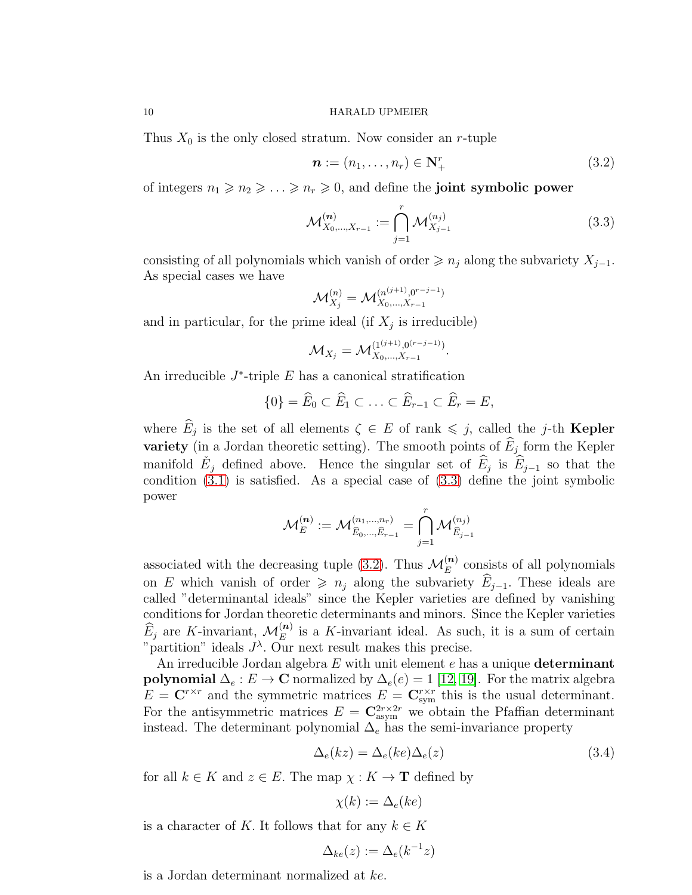Thus  $X_0$  is the only closed stratum. Now consider an r-tuple

<span id="page-9-1"></span>
$$
\boldsymbol{n} := (n_1, \dots, n_r) \in \mathbf{N}_+^r \tag{3.2}
$$

of integers  $n_1 \geq n_2 \geq \ldots \geq n_r \geq 0$ , and define the **joint symbolic power** 

<span id="page-9-0"></span>
$$
\mathcal{M}_{X_0,\dots,X_{r-1}}^{(n)} := \bigcap_{j=1}^r \mathcal{M}_{X_{j-1}}^{(n_j)} \tag{3.3}
$$

consisting of all polynomials which vanish of order  $\geq n_i$  along the subvariety  $X_{i-1}$ . As special cases we have

$$
\mathcal{M}_{X_j}^{(n)} = \mathcal{M}_{X_0,\dots,X_{r-1}}^{(n^{(j+1)},0^{r-j-1})}
$$

and in particular, for the prime ideal (if  $X_j$  is irreducible)

$$
\mathcal{M}_{X_j} = \mathcal{M}_{X_0,\dots,X_{r-1}}^{(1^{(j+1)},0^{(r-j-1)})}.
$$

An irreducible  $J^*$ -triple  $E$  has a canonical stratification

$$
\{0\} = \widehat{E}_0 \subset \widehat{E}_1 \subset \ldots \subset \widehat{E}_{r-1} \subset \widehat{E}_r = E,
$$

where  $E_j$  is the set of all elements  $\zeta \in E$  of rank  $\leq j$ , called the j-th **Kepler variety** (in a Jordan theoretic setting). The smooth points of  $E_j$  form the Kepler manifold  $E_j$  defined above. Hence the singular set of  $\widehat{E}_j$  is  $\widehat{E}_{j-1}$  so that the condition [\(3.1\)](#page-8-0) is satisfied. As a special case of [\(3.3\)](#page-9-0) define the joint symbolic power

$$
\mathcal{M}_E^{(n)} := \mathcal{M}_{\widehat{E}_0, \dots, \widehat{E}_{r-1}}^{(n_1, \dots, n_r)} = \bigcap_{j=1}^r \mathcal{M}_{\widehat{E}_{j-1}}^{(n_j)}
$$

associated with the decreasing tuple [\(3.2\)](#page-9-1). Thus  $\mathcal{M}_E^{(n)}$  consists of all polynomials on E which vanish of order  $\geq n_j$  along the subvariety  $\widehat{E}_{j-1}$ . These ideals are called "determinantal ideals" since the Kepler varieties are defined by vanishing conditions for Jordan theoretic determinants and minors. Since the Kepler varieties  $\widehat{E}_j$  are K-invariant,  $\mathcal{M}_E^{(n)}$  is a K-invariant ideal. As such, it is a sum of certain "partition" ideals  $J^{\lambda}$ . Our next result makes this precise.

An irreducible Jordan algebra  $E$  with unit element  $e$  has a unique **determinant** polynomial  $\Delta_e : E \to \mathbb{C}$  normalized by  $\Delta_e(e) = 1$  [\[12,](#page-25-7) [19\]](#page-25-14). For the matrix algebra  $E = \mathbf{C}^{r \times r}$  and the symmetric matrices  $E = \mathbf{C}_{sym}^{r \times r}$  this is the usual determinant. For the antisymmetric matrices  $E = \mathbf{C}_{asym}^{2r \times 2r}$  we obtain the Pfaffian determinant instead. The determinant polynomial  $\Delta_e$  has the semi-invariance property

$$
\Delta_e(kz) = \Delta_e(ke)\Delta_e(z)
$$
\n(3.4)

for all  $k \in K$  and  $z \in E$ . The map  $\chi : K \to \mathbf{T}$  defined by

$$
\chi(k) := \Delta_e(ke)
$$

is a character of K. It follows that for any  $k \in K$ 

$$
\Delta_{ke}(z) := \Delta_e(k^{-1}z)
$$

is a Jordan determinant normalized at ke.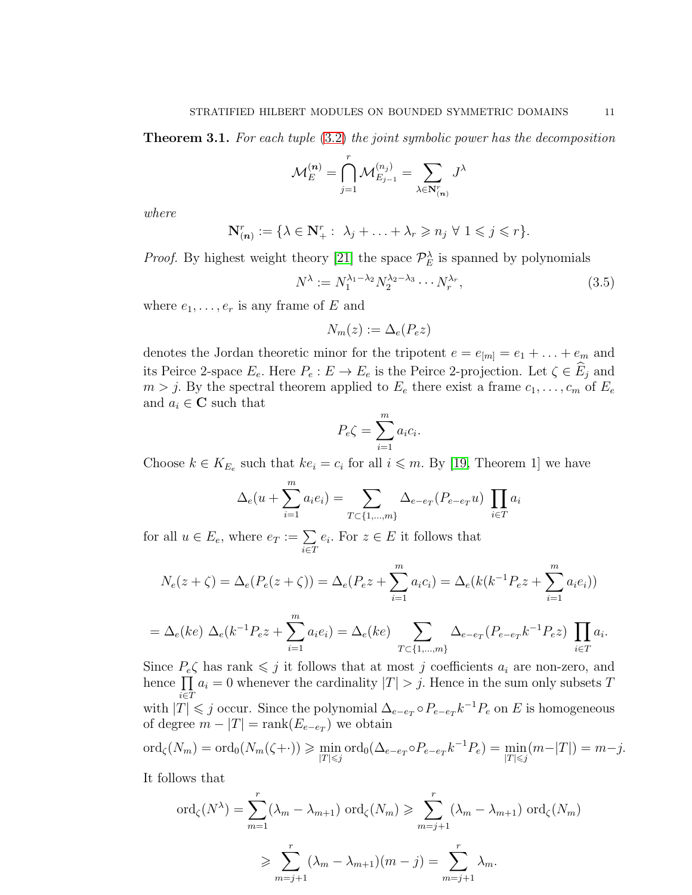<span id="page-10-0"></span>Theorem 3.1. For each tuple [\(3.2\)](#page-9-1) the joint symbolic power has the decomposition

$$
\mathcal{M}_E^{(\boldsymbol{n})}=\bigcap_{j=1}^r\mathcal{M}_{E_{j-1}}^{(n_j)}=\sum_{\lambda\in\mathbf{N}_{(\boldsymbol{n})}^r}J^\lambda
$$

where

$$
\mathbf{N}_{(n)}^r := \{ \lambda \in \mathbf{N}_+^r : \ \lambda_j + \ldots + \lambda_r \geqslant n_j \ \forall \ 1 \leqslant j \leqslant r \}.
$$

*Proof.* By highest weight theory [\[21\]](#page-25-9) the space  $\mathcal{P}_E^{\lambda}$  is spanned by polynomials

<span id="page-10-1"></span>
$$
N^{\lambda} := N_1^{\lambda_1 - \lambda_2} N_2^{\lambda_2 - \lambda_3} \cdots N_r^{\lambda_r},
$$
\n(3.5)

where  $e_1, \ldots, e_r$  is any frame of E and

$$
N_m(z) := \Delta_e(P_e z)
$$

denotes the Jordan theoretic minor for the tripotent  $e = e_{[m]} = e_1 + \ldots + e_m$  and its Peirce 2-space  $E_e$ . Here  $P_e: E \to E_e$  is the Peirce 2-projection. Let  $\zeta \in \widehat{E}_j$  and  $m > j$ . By the spectral theorem applied to  $E_e$  there exist a frame  $c_1, \ldots, c_m$  of  $E_e$ and  $a_i \in \mathbf{C}$  such that

$$
P_e \zeta = \sum_{i=1}^m a_i c_i.
$$

Choose  $k \in K_{E_e}$  such that  $ke_i = c_i$  for all  $i \leq m$ . By [\[19,](#page-25-14) Theorem 1] we have

$$
\Delta_e(u + \sum_{i=1}^m a_i e_i) = \sum_{T \subset \{1, \dots, m\}} \Delta_{e - e_T}(P_{e - e_T}u) \prod_{i \in T} a_i
$$

for all  $u \in E_e$ , where  $e_T := \sum_{i \in T}$  $e_i$ . For  $z \in E$  it follows that

$$
N_e(z + \zeta) = \Delta_e(P_e(z + \zeta)) = \Delta_e(P_e z + \sum_{i=1}^m a_i c_i) = \Delta_e(k(k^{-1} P_e z + \sum_{i=1}^m a_i e_i))
$$

$$
= \Delta_e(ke) \ \Delta_e(k^{-1}P_e z + \sum_{i=1}^m a_i e_i) = \Delta_e(ke) \sum_{T \subset \{1,\dots,m\}} \Delta_{e- e_T}(P_{e-e_T}k^{-1}P_e z) \prod_{i \in T} a_i.
$$

Since  $P_e\zeta$  has rank  $\leq j$  it follows that at most j coefficients  $a_i$  are non-zero, and hence  $\prod$  $\prod_{i\in T} a_i = 0$  whenever the cardinality  $|T| > j$ . Hence in the sum only subsets T with  $|T| \leq j$  occur. Since the polynomial  $\Delta_{e-e_T} \circ P_{e-e_T} k^{-1} P_e$  on E is homogeneous of degree  $m - |T| = \text{rank}(E_{e-e_T})$  we obtain

$$
\text{ord}_{\zeta}(N_m) = \text{ord}_{0}(N_m(\zeta + \cdot)) \geq \min_{|T| \leq j} \text{ord}_{0}(\Delta_{e-e_{T}} \circ P_{e-e_{T}} k^{-1} P_{e}) = \min_{|T| \leq j} (m - |T|) = m - j.
$$

It follows that

$$
\operatorname{ord}_{\zeta}(N^{\lambda}) = \sum_{m=1}^{r} (\lambda_m - \lambda_{m+1}) \operatorname{ord}_{\zeta}(N_m) \ge \sum_{m=j+1}^{r} (\lambda_m - \lambda_{m+1}) \operatorname{ord}_{\zeta}(N_m)
$$

$$
\ge \sum_{m=j+1}^{r} (\lambda_m - \lambda_{m+1})(m-j) = \sum_{m=j+1}^{r} \lambda_m.
$$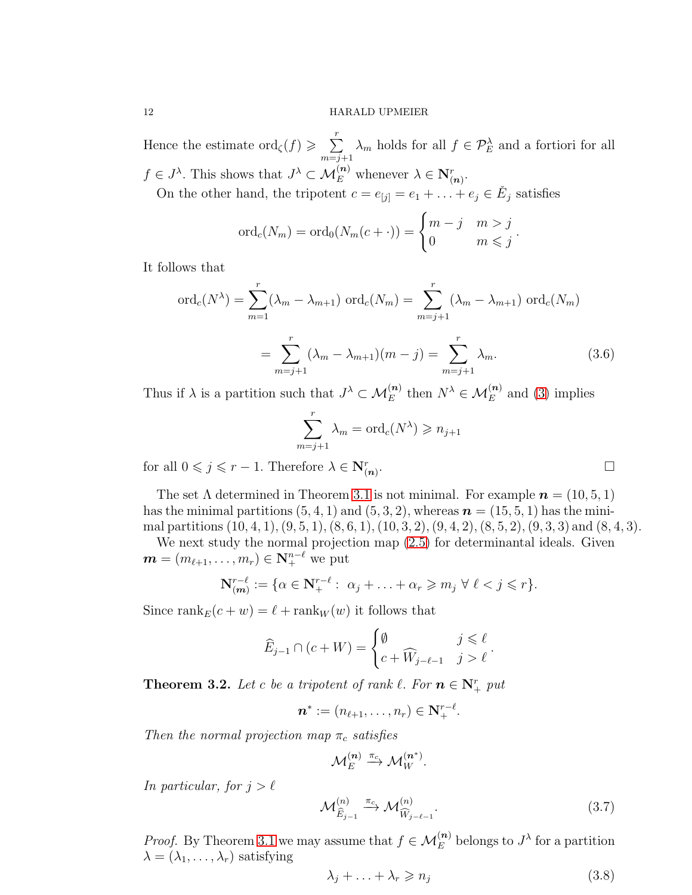Hence the estimate ord $\zeta(f) \geqslant \sum_{r=1}^{r}$  $\sum_{m=j+1} \lambda_m$  holds for all  $f \in \mathcal{P}_E^{\lambda}$  and a fortiori for all  $f \in J^{\lambda}$ . This shows that  $J^{\lambda} \subset \mathcal{M}_E^{(n)}$  whenever  $\lambda \in \mathbb{N}_{(n)}^r$ .

On the other hand, the tripotent  $c = e_{[j]} = e_1 + \ldots + e_j \in \check{E}_j$  satisfies

$$
\operatorname{ord}_c(N_m) = \operatorname{ord}_0(N_m(c + \cdot)) = \begin{cases} m - j & m > j \\ 0 & m \leq j \end{cases}.
$$

It follows that

<span id="page-11-0"></span>
$$
\text{ord}_{c}(N^{\lambda}) = \sum_{m=1}^{r} (\lambda_{m} - \lambda_{m+1}) \text{ ord}_{c}(N_{m}) = \sum_{m=j+1}^{r} (\lambda_{m} - \lambda_{m+1}) \text{ ord}_{c}(N_{m})
$$

$$
= \sum_{m=j+1}^{r} (\lambda_{m} - \lambda_{m+1})(m-j) = \sum_{m=j+1}^{r} \lambda_{m}.
$$
(3.6)

Thus if  $\lambda$  is a partition such that  $J^{\lambda} \subset \mathcal{M}_E^{(n)}$  then  $N^{\lambda} \in \mathcal{M}_E^{(n)}$  and [\(3\)](#page-11-0) implies

$$
\sum_{m=j+1}^{r} \lambda_m = \text{ord}_c(N^{\lambda}) \geqslant n_{j+1}
$$

for all  $0 \leqslant j \leqslant r - 1$ . Therefore  $\lambda \in \mathbf{N}_{(n)}^r$ 

The set  $\Lambda$  determined in Theorem [3.1](#page-10-0) is not minimal. For example  $\mathbf{n} = (10, 5, 1)$ has the minimal partitions  $(5, 4, 1)$  and  $(5, 3, 2)$ , whereas  $n = (15, 5, 1)$  has the minimal partitions  $(10, 4, 1), (9, 5, 1), (8, 6, 1), (10, 3, 2), (9, 4, 2), (8, 5, 2), (9, 3, 3)$  and  $(8, 4, 3)$ .

We next study the normal projection map [\(2.5\)](#page-6-0) for determinantal ideals. Given  $\boldsymbol{m} = (m_{\ell+1}, \ldots, m_r) \in \mathbf{N}^{n-\ell}_+$  we put

$$
\mathbf{N}_{(m)}^{r-\ell} := \{ \alpha \in \mathbf{N}_{+}^{r-\ell} : \ \alpha_j + \ldots + \alpha_r \geqslant m_j \ \forall \ \ell < j \leqslant r \}.
$$

Since rank $E(c + w) = \ell + \text{rank}_W(w)$  it follows that

$$
\widehat{E}_{j-1} \cap (c+W) = \begin{cases} \emptyset & j \leq \ell \\ c+\widehat{W}_{j-\ell-1} & j > \ell \end{cases}.
$$

**Theorem 3.2.** Let c be a tripotent of rank  $\ell$ . For  $n \in \mathbb{N}_{+}^{r}$  put

$$
\boldsymbol{n}^* := (n_{\ell+1},\ldots,n_r) \in \mathbf{N}^{r-\ell}_+.
$$

Then the normal projection map  $\pi_c$  satisfies

 $\mathcal{M}_E^{(\bm{n})} \stackrel{\pi_c}{\longrightarrow} \mathcal{M}_W^{(\bm{n^*})}.$ 

In particular, for  $j > \ell$ 

<span id="page-11-2"></span>
$$
\mathcal{M}^{(n)}_{\widehat{E}_{j-1}} \xrightarrow{\pi_c} \mathcal{M}^{(n)}_{\widehat{W}_{j-\ell-1}}.
$$
\n(3.7)

.

*Proof.* By Theorem [3.1](#page-10-0) we may assume that  $f \in \mathcal{M}_E^{(n)}$  belongs to  $J^{\lambda}$  for a partition  $\lambda = (\lambda_1, \ldots, \lambda_r)$  satisfying

<span id="page-11-1"></span>
$$
\lambda_j + \ldots + \lambda_r \geqslant n_j \tag{3.8}
$$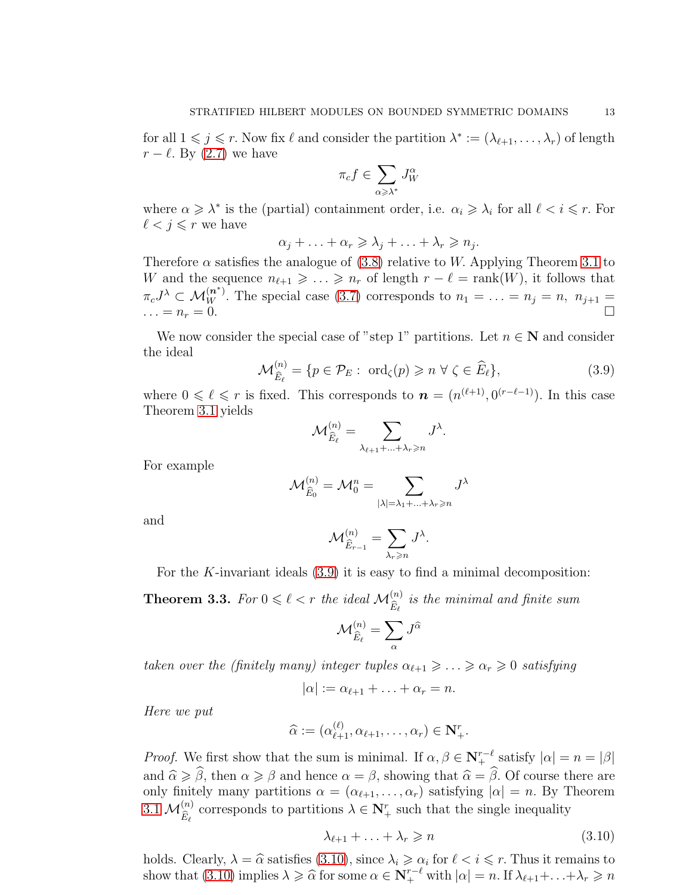for all  $1 \leq j \leq r$ . Now fix  $\ell$  and consider the partition  $\lambda^* := (\lambda_{\ell+1}, \ldots, \lambda_r)$  of length  $r - \ell$ . By [\(2.7\)](#page-7-2) we have

$$
\pi_c f \in \sum_{\alpha \geqslant \lambda^*} J_W^\alpha
$$

where  $\alpha \geq \lambda^*$  is the (partial) containment order, i.e.  $\alpha_i \geq \lambda_i$  for all  $\ell < i \leq r$ . For  $\ell < j \leq r$  we have

$$
\alpha_j + \ldots + \alpha_r \geqslant \lambda_j + \ldots + \lambda_r \geqslant n_j.
$$

Therefore  $\alpha$  satisfies the analogue of [\(3.8\)](#page-11-1) relative to W. Applying Theorem [3.1](#page-10-0) to W and the sequence  $n_{\ell+1} \geqslant \ldots \geqslant n_r$  of length  $r - \ell = \text{rank}(W)$ , it follows that  $\pi_c J^{\lambda} \subset \mathcal{M}_W^{(n^*)}$ . The special case [\(3.7\)](#page-11-2) corresponds to  $n_1 = \ldots = n_j = n$ ,  $n_{j+1} =$  $\ldots = n_r = 0.$ 

We now consider the special case of "step 1" partitions. Let  $n \in \mathbb{N}$  and consider the ideal

<span id="page-12-0"></span>
$$
\mathcal{M}_{\widehat{E}_{\ell}}^{(n)} = \{ p \in \mathcal{P}_E : \text{ ord}_{\zeta}(p) \geqslant n \,\,\forall \,\,\zeta \in \widehat{E}_{\ell} \},\tag{3.9}
$$

where  $0 \leq \ell \leq r$  is fixed. This corresponds to  $n = (n^{(\ell+1)}, 0^{(r-\ell-1)})$ . In this case Theorem [3.1](#page-10-0) yields

$$
\mathcal{M}_{\widehat{E}_{\ell}}^{(n)} = \sum_{\lambda_{\ell+1} + \ldots + \lambda_r \geqslant n} J^{\lambda}.
$$

For example

$$
\mathcal{M}_{\widehat{E}_0}^{(n)} = \mathcal{M}_0^n = \sum_{|\lambda| = \lambda_1 + \ldots + \lambda_r \geqslant n} J^{\lambda}
$$

and

$$
\mathcal{M}^{(n)}_{\widehat{E}_{r-1}} = \sum_{\lambda_r \geqslant n} J^{\lambda}.
$$

For the K-invariant ideals  $(3.9)$  it is easy to find a minimal decomposition:

**Theorem 3.3.** For  $0 \leq \ell < r$  the ideal  $\mathcal{M}_{\widehat{E}_{\ell}}^{(n)}$  is the minimal and finite sum

$$
\mathcal{M}^{(n)}_{\widehat{E}_\ell} = \sum_\alpha J^{\widehat{\alpha}}
$$

taken over the (finitely many) integer tuples  $\alpha_{\ell+1} \geq \ldots \geq \alpha_r \geq 0$  satisfying

$$
|\alpha| := \alpha_{\ell+1} + \ldots + \alpha_r = n.
$$

Here we put

$$
\widehat{\alpha} := (\alpha_{\ell+1}^{(\ell)}, \alpha_{\ell+1}, \ldots, \alpha_r) \in \mathbf{N}_{+}^r.
$$

*Proof.* We first show that the sum is minimal. If  $\alpha, \beta \in \mathbb{N}_{+}^{r-\ell}$  satisfy  $|\alpha| = n = |\beta|$ and  $\hat{\alpha} \geq \hat{\beta}$ , then  $\alpha \geq \beta$  and hence  $\alpha = \beta$ , showing that  $\hat{\alpha} = \hat{\beta}$ . Of course there are only finitely many partitions  $\alpha = (\alpha_{\ell+1}, \ldots, \alpha_r)$  satisfying  $|\alpha| = n$ . By Theorem [3.1](#page-10-0)  $\mathcal{M}_{\widehat{E}_{\ell}}^{(n)}$  corresponds to partitions  $\lambda \in \mathbb{N}_{+}^{r}$  such that the single inequality

<span id="page-12-1"></span>
$$
\lambda_{\ell+1} + \ldots + \lambda_r \geqslant n \tag{3.10}
$$

holds. Clearly,  $\lambda = \hat{\alpha}$  satisfies [\(3.10\)](#page-12-1), since  $\lambda_i \geq \alpha_i$  for  $\ell < i \leq r$ . Thus it remains to show that [\(3.10\)](#page-12-1) implies  $\lambda \geq \widehat{\alpha}$  for some  $\alpha \in \mathbb{N}_{+}^{r-\ell}$  with  $|\alpha| = n$ . If  $\lambda_{\ell+1} + \ldots + \lambda_r \geq n$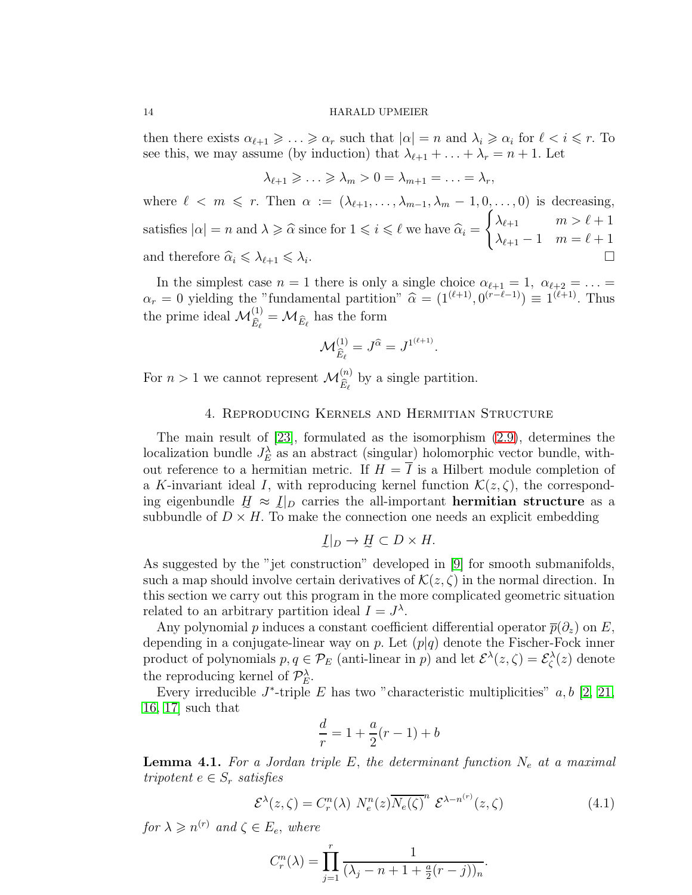then there exists  $\alpha_{\ell+1} \geq \ldots \geq \alpha_r$  such that  $|\alpha| = n$  and  $\lambda_i \geq \alpha_i$  for  $\ell \leq i \leq r$ . To see this, we may assume (by induction) that  $\lambda_{\ell+1} + \ldots + \lambda_r = n+1$ . Let

$$
\lambda_{\ell+1} \geqslant \ldots \geqslant \lambda_m > 0 = \lambda_{m+1} = \ldots = \lambda_r,
$$

where  $\ell < m \leq r$ . Then  $\alpha := (\lambda_{\ell+1}, \ldots, \lambda_{m-1}, \lambda_m - 1, 0, \ldots, 0)$  is decreasing, satisfies  $|\alpha| = n$  and  $\lambda \geq \widehat{\alpha}$  since for  $1 \leq i \leq \ell$  we have  $\widehat{\alpha}_i =$  $\int \lambda_{\ell+1}$   $m > \ell+1$  $\lambda_{\ell+1} - 1 \quad m = \ell+1$ and therefore  $\widehat{\alpha}_i \leq \lambda_{\ell+1} \leq \lambda_i$ . .

In the simplest case  $n = 1$  there is only a single choice  $\alpha_{\ell+1} = 1$ ,  $\alpha_{\ell+2} = \ldots =$  $\alpha_r = 0$  yielding the "fundamental partition"  $\hat{\alpha} = (1^{(\ell+1)}, 0^{(r-\ell-1)}) \equiv 1^{(\ell+1)}$ . Thus the prime ideal  $\mathcal{M}_{\widehat{E}_{\ell}}^{(1)} = \mathcal{M}_{\widehat{E}_{\ell}}$  has the form

$$
\mathcal{M}^{(1)}_{\widehat{E}_{\ell}}=J^{\widehat{\alpha}}=J^{1^{(\ell+1)}}.
$$

For  $n > 1$  we cannot represent  $\mathcal{M}_{\widehat{E}_\ell}^{(n)}$  by a single partition.

## 4. Reproducing Kernels and Hermitian Structure

The main result of [\[23\]](#page-26-0), formulated as the isomorphism [\(2.9\)](#page-7-3), determines the localization bundle  $J_E^{\lambda}$  as an abstract (singular) holomorphic vector bundle, without reference to a hermitian metric. If  $H = \overline{I}$  is a Hilbert module completion of a K-invariant ideal I, with reproducing kernel function  $\mathcal{K}(z,\zeta)$ , the corresponding eigenbundle  $H \approx I_D$  carries the all-important **hermitian structure** as a subbundle of  $D \times H$ . To make the connection one needs an explicit embedding

$$
\underline{I}|_D \to \underline{H} \subset D \times H.
$$

As suggested by the "jet construction" developed in [\[9\]](#page-25-1) for smooth submanifolds, such a map should involve certain derivatives of  $\mathcal{K}(z, \zeta)$  in the normal direction. In this section we carry out this program in the more complicated geometric situation related to an arbitrary partition ideal  $I = J^{\lambda}$ .

Any polynomial p induces a constant coefficient differential operator  $\bar{p}(\partial_z)$  on E, depending in a conjugate-linear way on p. Let  $(p|q)$  denote the Fischer-Fock inner product of polynomials  $p, q \in \mathcal{P}_E$  (anti-linear in p) and let  $\mathcal{E}^{\lambda}(z, \zeta) = \mathcal{E}^{\lambda}_{\zeta}(z)$  denote the reproducing kernel of  $\mathcal{P}_E^{\lambda}$ .

Every irreducible  $J^*$ -triple  $E$  has two "characteristic multiplicities"  $a, b$  [\[2,](#page-25-5) [21,](#page-25-9) [16,](#page-25-12) [17\]](#page-25-8) such that

$$
\frac{d}{r} = 1 + \frac{a}{2}(r - 1) + b
$$

**Lemma 4.1.** For a Jordan triple E, the determinant function  $N_e$  at a maximal tripotent  $e \in S_r$  satisfies

<span id="page-13-0"></span>
$$
\mathcal{E}^{\lambda}(z,\zeta) = C_r^n(\lambda) \ N_e^n(z) \overline{N_e(\zeta)}^n \ \mathcal{E}^{\lambda - n^{(r)}}(z,\zeta) \tag{4.1}
$$

.

for  $\lambda \geqslant n^{(r)}$  and  $\zeta \in E_e$ , where

$$
C_r^n(\lambda) = \prod_{j=1}^r \frac{1}{(\lambda_j - n + 1 + \frac{a}{2}(r - j))_n}
$$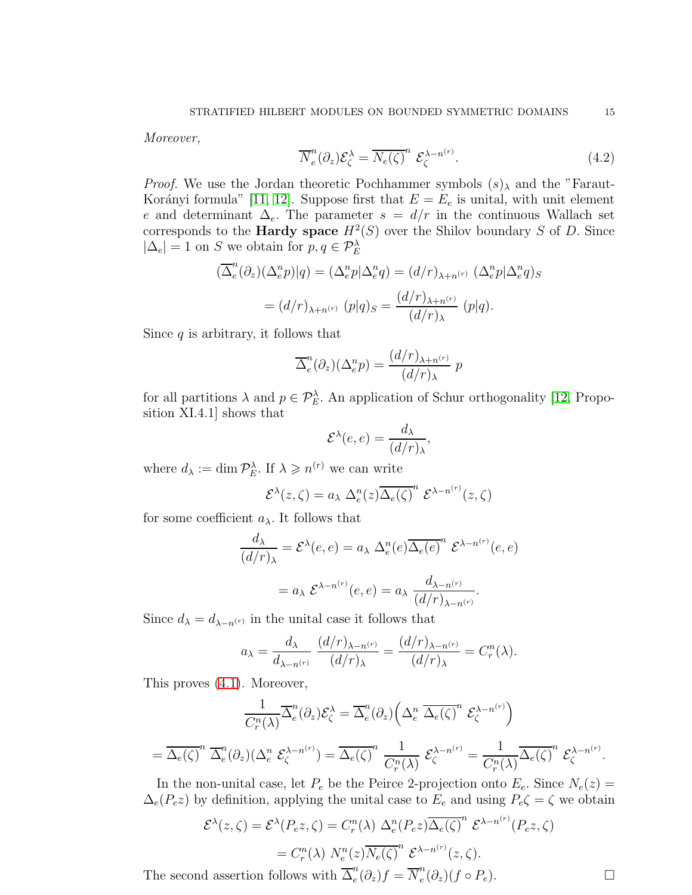Moreover,

<span id="page-14-0"></span>
$$
\overline{N}_e^n(\partial_z) \mathcal{E}_\zeta^\lambda = \overline{N_e(\zeta)}^n \mathcal{E}_\zeta^{\lambda - n^{(r)}}.
$$
\n(4.2)

*Proof.* We use the Jordan theoretic Pochhammer symbols  $(s)$  and the "Faraut-Korányi formula" [\[11,](#page-25-11) [12\]](#page-25-7). Suppose first that  $E = E_e$  is unital, with unit element e and determinant  $\Delta_e$ . The parameter  $s = d/r$  in the continuous Wallach set corresponds to the **Hardy space**  $H^2(S)$  over the Shilov boundary S of D. Since  $|\Delta_e| = 1$  on S we obtain for  $p, q \in \mathcal{P}_E^{\lambda}$ 

$$
\begin{aligned} (\overline{\Delta}_e^n(\partial_z)(\Delta_e^n p)|q) &= (\Delta_e^n p|\Delta_e^n q) = (d/r)_{\lambda+n^{(r)}} \ (\Delta_e^n p|\Delta_e^n q)_S \\ &= (d/r)_{\lambda+n^{(r)}} \ (p|q)_S = \frac{(d/r)_{\lambda+n^{(r)}}}{(d/r)_{\lambda}} \ (p|q). \end{aligned}
$$

Since  $q$  is arbitrary, it follows that

$$
\overline{\Delta}^n_e(\partial_z)(\Delta^n_e p) = \frac{(d/r)_{\lambda + n^{(r)}}}{(d/r)_{\lambda}} p
$$

for all partitions  $\lambda$  and  $p \in \mathcal{P}_E^{\lambda}$ . An application of Schur orthogonality [\[12,](#page-25-7) Proposition XI.4.1] shows that

$$
\mathcal{E}^{\lambda}(e,e) = \frac{d_{\lambda}}{(d/r)_{\lambda}},
$$

where  $d_{\lambda} := \dim \mathcal{P}_{E}^{\lambda}$ . If  $\lambda \geqslant n^{(r)}$  we can write

$$
\mathcal{E}^{\lambda}(z,\zeta) = a_{\lambda} \ \Delta_e^n(z) \overline{\Delta_e(\zeta)}^n \ \mathcal{E}^{\lambda - n^{(r)}}(z,\zeta)
$$

for some coefficient  $a_{\lambda}$ . It follows that

$$
\frac{d_{\lambda}}{(d/r)_{\lambda}} = \mathcal{E}^{\lambda}(e, e) = a_{\lambda} \Delta_e^n(e) \overline{\Delta_e(e)}^n \mathcal{E}^{\lambda - n^{(r)}}(e, e)
$$

$$
= a_{\lambda} \mathcal{E}^{\lambda - n^{(r)}}(e, e) = a_{\lambda} \frac{d_{\lambda - n^{(r)}}}{(d/r)_{\lambda - n^{(r)}}}.
$$

Since  $d_{\lambda} = d_{\lambda - n^{(r)}}$  in the unital case it follows that

$$
a_{\lambda} = \frac{d_{\lambda}}{d_{\lambda - n^{(r)}}} \frac{(d/r)_{\lambda - n^{(r)}}}{(d/r)_{\lambda}} = \frac{(d/r)_{\lambda - n^{(r)}}}{(d/r)_{\lambda}} = C_r^n(\lambda).
$$

This proves [\(4.1\)](#page-13-0). Moreover,

$$
\frac{1}{C_r^n(\lambda)}\overline{\Delta}_e^n(\partial_z)\mathcal{E}_{\zeta}^{\lambda} = \overline{\Delta}_e^n(\partial_z) \left( \Delta_e^n \ \overline{\Delta_e(\zeta)}^n \ \mathcal{E}_{\zeta}^{\lambda - n^{(r)}} \right)
$$

$$
= \overline{\Delta_e(\zeta)}^n \ \overline{\Delta}_e^n(\partial_z) (\Delta_e^n \ \mathcal{E}_{\zeta}^{\lambda - n^{(r)}}) = \overline{\Delta_e(\zeta)}^n \ \frac{1}{C_r^n(\lambda)} \ \mathcal{E}_{\zeta}^{\lambda - n^{(r)}} = \frac{1}{C_r^n(\lambda)}\overline{\Delta_e(\zeta)}^n \ \mathcal{E}_{\zeta}^{\lambda - n^{(r)}}.
$$

In the non-unital case, let  $P_e$  be the Peirce 2-projection onto  $E_e$ . Since  $N_e(z)$  =  $\Delta_e(P_e z)$  by definition, applying the unital case to  $E_e$  and using  $P_e \zeta = \zeta$  we obtain

$$
\mathcal{E}^{\lambda}(z,\zeta) = \mathcal{E}^{\lambda}(P_e z,\zeta) = C_r^n(\lambda) \ \Delta_e^n(P_e z) \overline{\Delta_e(\zeta)}^n \ \mathcal{E}^{\lambda - n^{(r)}}(P_e z,\zeta)
$$

$$
= C_r^n(\lambda) \ N_e^n(z) \overline{N_e(\zeta)}^n \ \mathcal{E}^{\lambda - n^{(r)}}(z,\zeta).
$$

The second assertion follows with  $\overline{\Delta}_e^n$  $e^n_e(\partial_z)f = \overline{N}_e^n$  $e^{n}(\partial_z)(f \circ P_e).$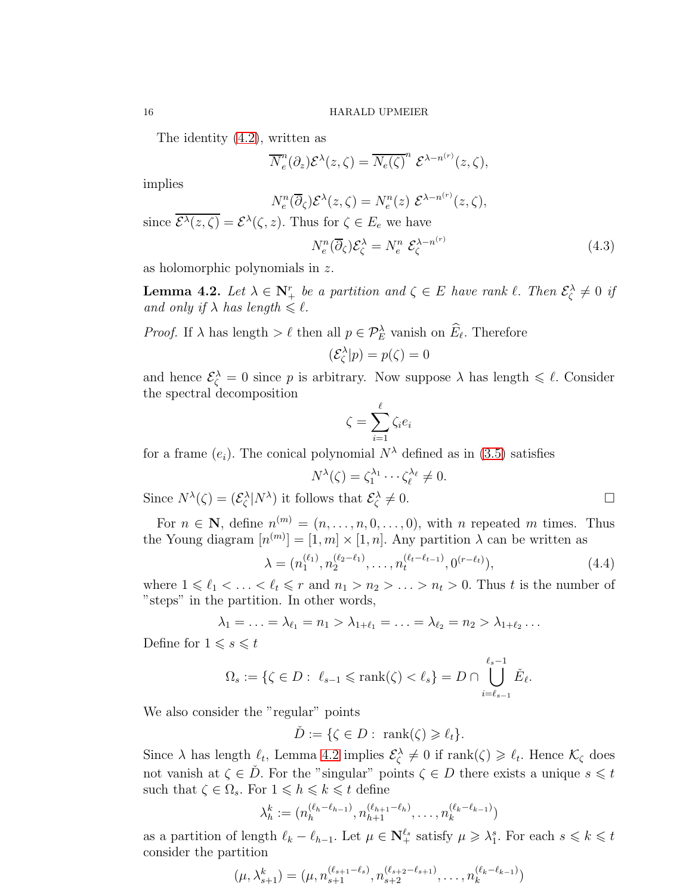The identity [\(4.2\)](#page-14-0), written as

$$
\overline{N}_e^n(\partial_z) \mathcal{E}^{\lambda}(z,\zeta) = \overline{N_e(\zeta)}^n \mathcal{E}^{\lambda - n^{(r)}}(z,\zeta),
$$

implies

$$
N_e^n(\overline{\partial}_{\zeta})\mathcal{E}^{\lambda}(z,\zeta)=N_e^n(z)\,\mathcal{E}^{\lambda-n^{(r)}}(z,\zeta),
$$

since  $\overline{\mathcal{E}^{\lambda}(z,\zeta)} = \mathcal{E}^{\lambda}(\zeta,z)$ . Thus for  $\zeta \in E_e$  we have

$$
N_e^n(\overline{\partial}_{\zeta})\mathcal{E}_{\zeta}^{\lambda} = N_e^n \ \mathcal{E}_{\zeta}^{\lambda - n^{(r)}} \tag{4.3}
$$

as holomorphic polynomials in z.

<span id="page-15-0"></span>**Lemma 4.2.** Let  $\lambda \in \mathbb{N}_+^r$  be a partition and  $\zeta \in E$  have rank  $\ell$ . Then  $\mathcal{E}^{\lambda}_{\zeta} \neq 0$  if and only if  $\lambda$  has length  $\leq \ell$ .

*Proof.* If  $\lambda$  has length  $> \ell$  then all  $p \in \mathcal{P}_E^{\lambda}$  vanish on  $\widehat{E}_{\ell}$ . Therefore

$$
(\mathcal{E}_{\zeta}^{\lambda}|p) = p(\zeta) = 0
$$

and hence  $\mathcal{E}_{\zeta}^{\lambda} = 0$  since p is arbitrary. Now suppose  $\lambda$  has length  $\leq \ell$ . Consider the spectral decomposition

$$
\zeta = \sum_{i=1}^{\ell} \zeta_i e_i
$$

for a frame  $(e_i)$ . The conical polynomial  $N^{\lambda}$  defined as in [\(3.5\)](#page-10-1) satisfies

$$
N^{\lambda}(\zeta) = \zeta_1^{\lambda_1} \cdots \zeta_{\ell}^{\lambda_{\ell}} \neq 0.
$$

Since  $N^{\lambda}(\zeta) = (\mathcal{E}_{\zeta}^{\lambda}|N^{\lambda})$  it follows that  $\mathcal{E}_{\zeta}^{\lambda}$  $\neq 0.$ 

For  $n \in \mathbb{N}$ , define  $n^{(m)} = (n, \ldots, n, 0, \ldots, 0)$ , with n repeated m times. Thus the Young diagram  $[n^{(m)}] = [1, m] \times [1, n]$ . Any partition  $\lambda$  can be written as

<span id="page-15-1"></span>
$$
\lambda = (n_1^{(\ell_1)}, n_2^{(\ell_2 - \ell_1)}, \dots, n_t^{(\ell_t - \ell_{t-1})}, 0^{(r - \ell_t)}), \tag{4.4}
$$

where  $1 \leq \ell_1 < \ldots < \ell_t \leq r$  and  $n_1 > n_2 > \ldots > n_t > 0$ . Thus t is the number of "steps" in the partition. In other words,

$$
\lambda_1 = \ldots = \lambda_{\ell_1} = n_1 > \lambda_{1+\ell_1} = \ldots = \lambda_{\ell_2} = n_2 > \lambda_{1+\ell_2} \ldots
$$

Define for  $1 \leqslant s \leqslant t$ 

$$
\Omega_s := \{ \zeta \in D : \ \ell_{s-1} \leqslant \text{rank}(\zeta) < \ell_s \} = D \cap \bigcup_{i=\ell_{s-1}}^{\ell_s - 1} \check{E}_{\ell}.
$$

We also consider the "regular" points

$$
\check{D} := \{ \zeta \in D : \text{ rank}(\zeta) \geqslant \ell_t \}.
$$

Since  $\lambda$  has length  $\ell_t$ , Lemma [4.2](#page-15-0) implies  $\mathcal{E}^{\lambda}_{\zeta} \neq 0$  if rank $(\zeta) \geq \ell_t$ . Hence  $\mathcal{K}_{\zeta}$  does not vanish at  $\zeta \in \check{D}$ . For the "singular" points  $\zeta \in D$  there exists a unique  $s \leq t$ such that  $\zeta \in \Omega_s$ . For  $1 \leq h \leq k \leq t$  define

$$
\lambda_h^k := (n_h^{(\ell_h - \ell_{h-1})}, n_{h+1}^{(\ell_{h+1} - \ell_h)}, \dots, n_k^{(\ell_k - \ell_{k-1})})
$$

as a partition of length  $\ell_k - \ell_{h-1}$ . Let  $\mu \in \mathbb{N}_+^{\ell_s}$  satisfy  $\mu \geq \lambda_1^s$ . For each  $s \leq k \leq t$ consider the partition

$$
(\mu, \lambda_{s+1}^k) = (\mu, n_{s+1}^{(\ell_{s+1}-\ell_s)}, n_{s+2}^{(\ell_{s+2}-\ell_{s+1})}, \dots, n_k^{(\ell_k-\ell_{k-1})})
$$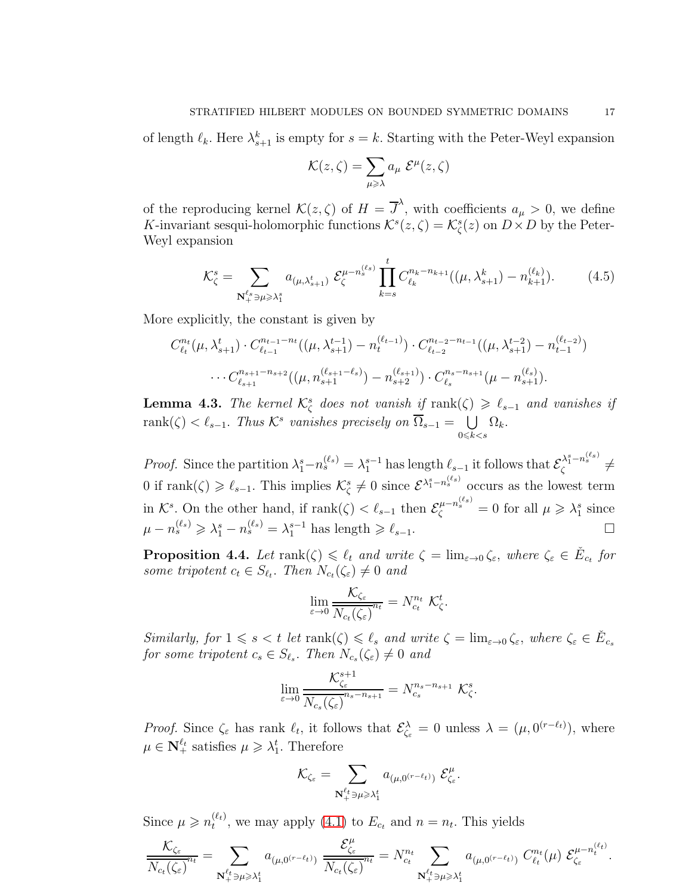of length  $\ell_k$ . Here  $\lambda_{s+1}^k$  is empty for  $s = k$ . Starting with the Peter-Weyl expansion

$$
\mathcal{K}(z,\zeta) = \sum_{\mu \geqslant \lambda} a_{\mu} \mathcal{E}^{\mu}(z,\zeta)
$$

of the reproducing kernel  $\mathcal{K}(z,\zeta)$  of  $H = \overline{J}^{\lambda}$ , with coefficients  $a_{\mu} > 0$ , we define K-invariant sesqui-holomorphic functions  $\mathcal{K}^s(z,\zeta) = \mathcal{K}^s_{\zeta}(z)$  on  $D \times D$  by the Peter-Weyl expansion

<span id="page-16-0"></span>
$$
\mathcal{K}_{\zeta}^{s} = \sum_{\mathbf{N}_{+}^{\ell_{s}} \ni \mu \geqslant \lambda_{1}^{s}} a_{(\mu,\lambda_{s+1}^{t})} \mathcal{E}_{\zeta}^{\mu - n_{s}^{(\ell_{s})}} \prod_{k=s}^{t} C_{\ell_{k}}^{n_{k} - n_{k+1}}((\mu,\lambda_{s+1}^{k}) - n_{k+1}^{(\ell_{k})}). \tag{4.5}
$$

More explicitly, the constant is given by

$$
C_{\ell_t}^{n_t}(\mu, \lambda_{s+1}^t) \cdot C_{\ell_{t-1}}^{n_{t-1}-n_t}((\mu, \lambda_{s+1}^{t-1}) - n_t^{(\ell_{t-1})}) \cdot C_{\ell_{t-2}}^{n_{t-2}-n_{t-1}}((\mu, \lambda_{s+1}^{t-2}) - n_{t-1}^{(\ell_{t-2})})
$$

$$
\cdots C_{\ell_{s+1}}^{n_{s+1}-n_{s+2}}((\mu, n_{s+1}^{(\ell_{s+1}-\ell_s)}) - n_{s+2}^{(\ell_{s+1})}) \cdot C_{\ell_s}^{n_s-n_{s+1}}(\mu - n_{s+1}^{(\ell_s)}).
$$

**Lemma 4.3.** The kernel  $\mathcal{K}_{\zeta}^{s}$  does not vanish if  $\text{rank}(\zeta) \geq \ell_{s-1}$  and vanishes if  $rank(\zeta) < \ell_{s-1}$ . Thus  $\mathcal{K}^s$  vanishes precisely on  $\overline{\Omega}_{s-1} = \bigcup_{s \in \mathcal{S}}$  $0 \leq k < s$  $\Omega_k.$ 

*Proof.* Since the partition  $\lambda_1^s - n_s^{(\ell_s)} = \lambda_1^{s-1}$  has length  $\ell_{s-1}$  it follows that  $\mathcal{E}_{\zeta}^{\lambda_1^s - n_s^{(\ell_s)}} \neq$ 0 if rank $(\zeta) \geq \ell_{s-1}$ . This implies  $\mathcal{K}_{\zeta}^s \neq 0$  since  $\mathcal{E}^{\lambda_1^s - n_s^{(\ell_s)}}$  occurs as the lowest term in  $\mathcal{K}^s$ . On the other hand, if  $\text{rank}(\zeta) < \ell_{s-1}$  then  $\mathcal{E}^{\mu - n_s^{(\ell_s)}}_{\zeta} = 0$  for all  $\mu \geq \lambda_1^s$  since  $\mu - n_s^{(\ell_s)} \geq \lambda_1^s - n_s^{(\ell_s)} = \lambda_1^{s-1}$  has length  $\geq \ell_{s-1}$ .

<span id="page-16-1"></span>**Proposition 4.4.** Let  $\text{rank}(\zeta) \leq \ell_t$  and write  $\zeta = \lim_{\varepsilon \to 0} \zeta_{\varepsilon}$ , where  $\zeta_{\varepsilon} \in \check{E}_{c_t}$  for some tripotent  $c_t \in S_{\ell_t}$ . Then  $N_{c_t}(\zeta_{\varepsilon}) \neq 0$  and

$$
\lim_{\varepsilon \to 0} \frac{\mathcal{K}_{\zeta_{\varepsilon}}}{N_{c_{t}}(\zeta_{\varepsilon})^{n_{t}}} = N_{c_{t}}^{n_{t}} \mathcal{K}_{\zeta}^{t}.
$$

Similarly, for  $1 \leq s < t$  let  $\text{rank}(\zeta) \leq \ell_s$  and write  $\zeta = \lim_{\varepsilon \to 0} \zeta_{\varepsilon}$ , where  $\zeta_{\varepsilon} \in \check{E}_{c_s}$ for some tripotent  $c_s \in S_{\ell_s}$ . Then  $N_{c_s}(\zeta_\varepsilon) \neq 0$  and

$$
\lim_{\varepsilon \to 0} \frac{\mathcal{K}_{\zeta_{\varepsilon}}^{s+1}}{N_{c_s}(\zeta_{\varepsilon})} \mathcal{K}_{s-n_{s+1}}^{n} = N_{c_s}^{n_s - n_{s+1}} \mathcal{K}_{\zeta}^s.
$$

*Proof.* Since  $\zeta_{\varepsilon}$  has rank  $\ell_t$ , it follows that  $\mathcal{E}^{\lambda}_{\zeta_{\varepsilon}} = 0$  unless  $\lambda = (\mu, 0^{(r-\ell_t)})$ , where  $\mu \in \mathbb{N}_{+}^{\ell_t}$  satisfies  $\mu \geq \lambda_1^t$ . Therefore

$$
\mathcal{K}_{\zeta_{\varepsilon}}=\sum_{\substack{\mathbf{N}_{+}^{\ell_{t}} \ni \mu \geqslant \lambda_{1}^{t} }} a_{(\mu,0^{(r-\ell_{t})})} \; \mathcal{E}_{\zeta_{\varepsilon}}^{\mu}.
$$

Since  $\mu \geqslant n_t^{(\ell_t)}$  $t_t^{(t_t)}$ , we may apply [\(4.1\)](#page-13-0) to  $E_{c_t}$  and  $n = n_t$ . This yields

$$
\frac{\mathcal{K}_{\zeta_{\varepsilon}}}{N_{c_{t}}(\zeta_{\varepsilon})^{n_{t}}} = \sum_{\mathbf{N}_{+}^{\ell_{t}} \ni \mu \geqslant \lambda_{1}^{t}} a_{(\mu,0^{(r-\ell_{t})})} \frac{\mathcal{E}_{\zeta_{\varepsilon}}^{\mu}}{N_{c_{t}}(\zeta_{\varepsilon})^{n_{t}}} = N_{c_{t}}^{n_{t}} \sum_{\mathbf{N}_{+}^{\ell_{t}} \ni \mu \geqslant \lambda_{1}^{t}} a_{(\mu,0^{(r-\ell_{t})})} C_{\ell_{t}}^{n_{t}}(\mu) \ \mathcal{E}_{\zeta_{\varepsilon}}^{\mu-n_{t}^{(\ell_{t})}}.
$$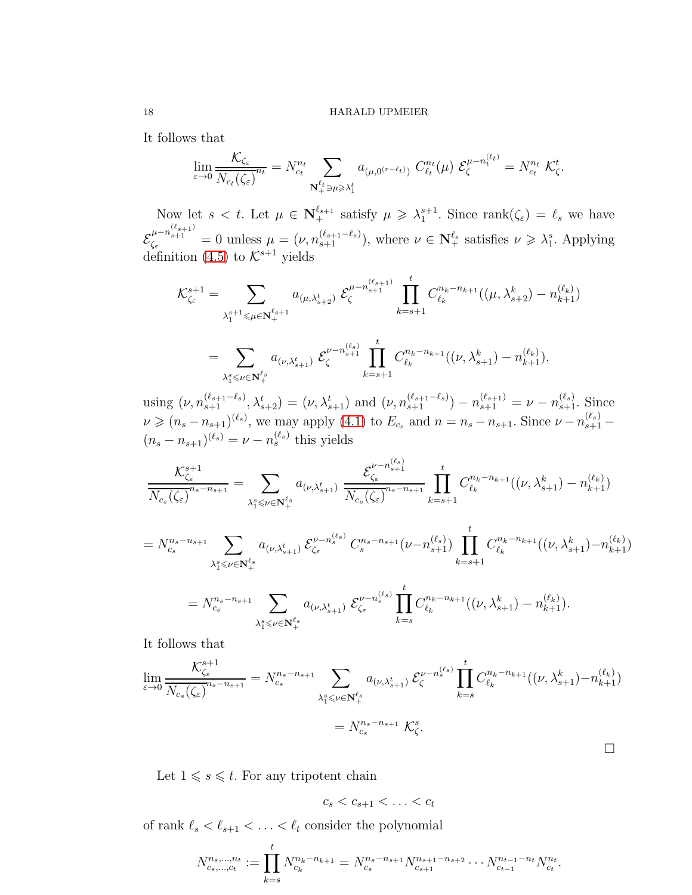It follows that

$$
\lim_{\varepsilon \to 0} \frac{\mathcal{K}_{\zeta_{\varepsilon}}}{N_{c_{t}}(\zeta_{\varepsilon})^{n_{t}}} = N_{c_{t}}^{n_{t}} \sum_{\mathbf{N}_{+}^{\ell_{t}} \ni \mu \geqslant \lambda_{1}^{t}} a_{(\mu,0^{(r-\ell_{t})})} C_{\ell_{t}}^{n_{t}}(\mu) \mathcal{E}_{\zeta}^{\mu - n_{t}^{(\ell_{t})}} = N_{c_{t}}^{n_{t}} \mathcal{K}_{\zeta}^{t}.
$$

Now let  $s < t$ . Let  $\mu \in \mathbb{N}_+^{\ell_{s+1}}$  satisfy  $\mu \geq \lambda_1^{s+1}$ . Since  $\text{rank}(\zeta_{\varepsilon}) = \ell_s$  we have E  $\mu_{\varepsilon}^{\mu-n_{s+1}^{(\ell_{s+1})}} = 0$  unless  $\mu = (\nu, n_{s+1}^{(\ell_{s+1}-\ell_s)})$ , where  $\nu \in \mathbb{N}_+^{\ell_s}$  satisfies  $\nu \geq \lambda_1^s$ . Applying definition [\(4.5\)](#page-16-0) to  $K^{s+1}$  yields

$$
\mathcal{K}_{\zeta_{\varepsilon}}^{s+1} = \sum_{\lambda_1^{s+1} \leq \mu \in \mathbf{N}_{+}^{\ell_{s+1}}} a_{(\mu,\lambda_{s+2}^{t})} \sum_{\zeta}^{\mu - n_{s+1}^{(\ell_{s+1})}} \prod_{k=s+1}^{t} C_{\ell_k}^{n_{k} - n_{k+1}}((\mu, \lambda_{s+2}^{k}) - n_{k+1}^{(\ell_{k})})
$$
  

$$
= \sum_{\lambda_1^{s} \leq \nu \in \mathbf{N}_{+}^{\ell_{s}}} a_{(\nu,\lambda_{s+1}^{t})} \sum_{\zeta}^{\nu - n_{s+1}^{(\ell_{s})}} \prod_{k=s+1}^{t} C_{\ell_k}^{n_{k} - n_{k+1}}((\nu, \lambda_{s+1}^{k}) - n_{k+1}^{(\ell_{k})}),
$$

using  $(\nu, n_{s+1}^{(\ell_{s+1}-\ell_s)}, \lambda_{s+2}^t) = (\nu, \lambda_{s+1}^t)$  and  $(\nu, n_{s+1}^{(\ell_{s+1}-\ell_s)}) - n_{s+1}^{(\ell_{s+1})} = \nu - n_{s+1}^{(\ell_s)}$ . Since  $\nu \ge (n_s - n_{s+1})^{(\ell_s)}$ , we may apply [\(4.1\)](#page-13-0) to  $E_{c_s}$  and  $n = n_s - n_{s+1}$ . Since  $\nu - n_{s+1}^{(\ell_s)}$  $(n_s - n_{s+1})^{(\ell_s)} = \nu - n_s^{(\ell_s)}$  this yields

$$
\frac{\mathcal{K}_{\zeta_{\varepsilon}}^{s+1}}{N_{c_{s}}(\zeta_{\varepsilon})} \frac{\mathcal{K}_{\zeta_{\varepsilon}}^{s+1}}{N_{c_{s}}(\zeta_{\varepsilon})} = \sum_{\lambda_{1}^{s} \leqslant \nu \in \mathbb{N}_{+}^{\ell_{s}}} a_{(\nu, \lambda_{s+1}^{t})} \frac{\mathcal{E}_{\zeta_{\varepsilon}}^{\nu - n_{s+1}}}{N_{c_{s}}(\zeta_{\varepsilon})} \prod_{k=s+1}^{t} C_{\ell_{k}}^{n_{k} - n_{k+1}}((\nu, \lambda_{s+1}^{k}) - n_{k+1}^{(\ell_{k})})
$$
\n
$$
= N_{c_{s}}^{n_{s} - n_{s+1}} \sum_{\lambda_{1}^{s} \leqslant \nu \in \mathbb{N}_{+}^{\ell_{s}}} a_{(\nu, \lambda_{s+1}^{t})} \mathcal{E}_{\zeta_{\varepsilon}}^{\nu - n_{s}^{(\ell_{s})}} C_{s}^{n_{s} - n_{s+1}}(\nu - n_{s+1}^{(\ell_{s})}) \prod_{k=s+1}^{t} C_{\ell_{k}}^{n_{k} - n_{k+1}}((\nu, \lambda_{s+1}^{k}) - n_{k+1}^{(\ell_{k})})
$$

$$
=N_{c_s}^{n_s-n_{s+1}}\sum_{\lambda_1^s\leqslant\nu\in\mathbf{N}_{+}^{\ell_s}}a_{(\nu,\lambda_{s+1}^t)}\,\mathcal{E}_{\zeta_{\varepsilon}}^{\nu-n_s^{(\ell_s)}}\prod_{k=s}C_{\ell_k}^{n_k-n_{k+1}}((\nu,\lambda_{s+1}^k)-n_{k+1}^{(\ell_k)}).
$$

It follows that

$$
\lim_{\varepsilon \to 0} \frac{\mathcal{K}_{\zeta_{\varepsilon}}^{s+1}}{N_{c_s}(\zeta_{\varepsilon})}^{n_s - n_{s+1}} = N_{c_s}^{n_s - n_{s+1}} \sum_{\lambda_1^s \le \nu \in \mathbf{N}_{+}^{\ell_s}} a_{(\nu, \lambda_{s+1}^t)} \mathcal{E}_{\zeta}^{\nu - n_s^{\ell_s}} \prod_{k=s}^t C_{\ell_k}^{n_k - n_{k+1}}((\nu, \lambda_{s+1}^k) - n_{k+1}^{(\ell_k)})
$$
\n
$$
= N_{c_s}^{n_s - n_{s+1}} \mathcal{K}_{\zeta}^s.
$$

Let  $1 \le s \le t$ . For any tripotent chain

 $c_s < c_{s+1} < \ldots < c_t$ 

of rank  $\ell_s<\ell_{s+1}<\cdots<\ell_t$  consider the polynomial

$$
N_{c_s,\dots,c_t}^{n_s,\dots,n_t} := \prod_{k=s}^t N_{c_k}^{n_k - n_{k+1}} = N_{c_s}^{n_s - n_{s+1}} N_{c_{s+1}}^{n_{s+1} - n_{s+2}} \dots N_{c_{t-1}}^{n_{t-1} - n_t} N_{c_t}^{n_t}.
$$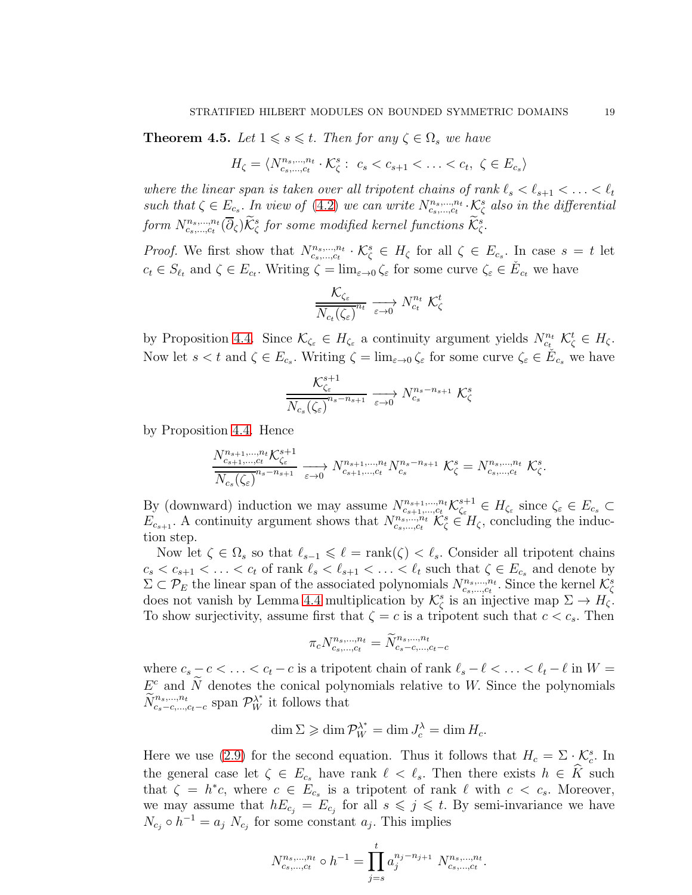<span id="page-18-0"></span>**Theorem 4.5.** Let  $1 \le s \le t$ . Then for any  $\zeta \in \Omega_s$  we have

$$
H_{\zeta} = \langle N_{c_s,\dots,c_t}^{n_s,\dots,n_t} \cdot \mathcal{K}_{\zeta}^s : c_s < c_{s+1} < \dots < c_t, \ \zeta \in E_{c_s} \rangle
$$

where the linear span is taken over all tripotent chains of rank  $\ell_s < \ell_{s+1} < \ldots < \ell_t$ such that  $\zeta \in E_{c_s}$ . In view of [\(4.2\)](#page-14-0) we can write  $N_{c_s,...,c_t}^{n_s,...,n_t} \cdot \mathcal{K}_{\zeta}^s$  also in the differential  ${\it form~}N_{cs,...,ct}^{n_s,...,n_t}(\overline{\partial}_\zeta)\check{\mathcal{K}}^s_\zeta$  for some modified kernel functions  $\check{\mathcal{K}}^s_\zeta.$ 

*Proof.* We first show that  $N_{c_s,\dots,c_t}^{n_s,\dots,n_t} \cdot \mathcal{K}_{\zeta}^s \in H_{\zeta}$  for all  $\zeta \in E_{c_s}$ . In case  $s = t$  let  $c_t \in S_{\ell_t}$  and  $\zeta \in E_{c_t}$ . Writing  $\zeta = \lim_{\varepsilon \to 0} \zeta_{\varepsilon}$  for some curve  $\zeta_{\varepsilon} \in \check{E}_{c_t}$  we have

$$
\frac{\mathcal{K}_{\zeta_{\varepsilon}}}{N_{c_{t}}(\zeta_{\varepsilon})^{n_{t}}} \xrightarrow[\varepsilon \to 0]{} N_{c_{t}}^{n_{t}} \mathcal{K}_{\zeta}^{t}
$$

by Proposition [4.4.](#page-16-1) Since  $\mathcal{K}_{\zeta_{\varepsilon}} \in H_{\zeta_{\varepsilon}}$  a continuity argument yields  $N_{c_{t}}^{n_{t}} \mathcal{K}_{\zeta}^{t} \in H_{\zeta}$ . Now let  $s < t$  and  $\zeta \in E_{c_s}$ . Writing  $\zeta = \lim_{\varepsilon \to 0} \zeta_{\varepsilon}$  for some curve  $\zeta_{\varepsilon} \in \check{E}_{c_s}$  we have

$$
\frac{\mathcal{K}_{\zeta_{\varepsilon}}^{s+1}}{N_{c_s}(\zeta_{\varepsilon})} \xrightarrow[\varepsilon \to 0]{} N_{c_s}^{n_s - n_{s+1}} \mathcal{K}_{\zeta}^s
$$

by Proposition [4.4.](#page-16-1) Hence

$$
\frac{N_{c_{s+1},\ldots,c_t}^{n_{s+1},\ldots,n_t} \mathcal{K}_{\zeta_{\varepsilon}}^{s+1}}{N_{c_s}(\zeta_{\varepsilon})} \xrightarrow{r_{c_{s+1},\ldots,r_t} N_{c_{s+1},\ldots,c_t}^{n_{s+1},\ldots,n_t} N_{c_s}^{n_s-n_{s+1}}} \mathcal{K}_{\zeta}^s = N_{c_s,\ldots,c_t}^{n_s,\ldots,n_t} \mathcal{K}_{\zeta}^s.
$$

By (downward) induction we may assume  $N_{c_{s+1},...,c_t}^{n_{s+1},...,n_t} \mathcal{K}_{\zeta_{\varepsilon}}^{s+1}$  $\zeta_{\varepsilon_{\mathsf{c}}}^{s+1} \in H_{\zeta_{\varepsilon}}$  since  $\zeta_{\varepsilon} \in E_{c_s} \subset$  $E_{c_{s+1}}$ . A continuity argument shows that  $N_{c_s,\dots,c_t}^{n_s,\dots,n_t}$   $\mathcal{K}_{\zeta}^s \in H_{\zeta}$ , concluding the induction step.

Now let  $\zeta \in \Omega_s$  so that  $\ell_{s-1} \leq \ell = \text{rank}(\zeta) < \ell_s$ . Consider all tripotent chains  $c_s < c_{s+1} < \ldots < c_t$  of rank  $\ell_s < \ell_{s+1} < \ldots < \ell_t$  such that  $\zeta \in E_{c_s}$  and denote by  $\Sigma \subset \mathcal{P}_E$  the linear span of the associated polynomials  $N_{c_s,\dots,c_t}^{n_s,\dots,n_t}$ . Since the kernel  $\mathcal{K}_{\zeta}^s$  and  $\zeta \to H_{\zeta}$ .<br>Goes not vanish by Lemma [4.4](#page-16-1) multiplication by  $\mathcal{K}_{\zeta}^s$  is an injective map  $\Sigma \to H_{$ To show surjectivity, assume first that  $\zeta = c$  is a tripotent such that  $c < c_s$ . Then

$$
\pi_c N_{c_s,\ldots,c_t}^{n_s,\ldots,n_t} = \widetilde{N}_{c_s-c,\ldots,c_t-c}^{n_s,\ldots,n_t}
$$

where  $c_s - c < \ldots < c_t - c$  is a tripotent chain of rank  $\ell_s - \ell < \ldots < \ell_t - \ell$  in  $W =$  $E<sup>c</sup>$  and  $\widetilde{N}$  denotes the conical polynomials relative to W. Since the polynomials  $\widetilde{N}_{c_s-c,\dots,c_t-c}^{n_s,\dots,n_t}$  span  $\mathcal{P}_W^{\lambda^*}$  it follows that

$$
\dim \Sigma \geqslant \dim \mathcal{P}^{\lambda^*}_{W} = \dim J^{\lambda}_{c} = \dim H_{c}.
$$

Here we use [\(2.9\)](#page-7-3) for the second equation. Thus it follows that  $H_c = \sum_i \zeta_c^s$ . In the general case let  $\zeta \in E_{c_s}$  have rank  $\ell < \ell_s$ . Then there exists  $h \in \hat{K}$  such that  $\zeta = h^*c$ , where  $c \in E_{c_s}$  is a tripotent of rank  $\ell$  with  $c < c_s$ . Moreover, we may assume that  $hE_{c_j} = E_{c_j}$  for all  $s \leqslant j \leqslant t$ . By semi-invariance we have  $N_{c_j} \circ h^{-1} = a_j N_{c_j}$  for some constant  $a_j$ . This implies

$$
N_{c_s,\dots,c_t}^{n_s,\dots,n_t} \circ h^{-1} = \prod_{j=s}^t a_j^{n_j - n_{j+1}} N_{c_s,\dots,c_t}^{n_s,\dots,n_t}.
$$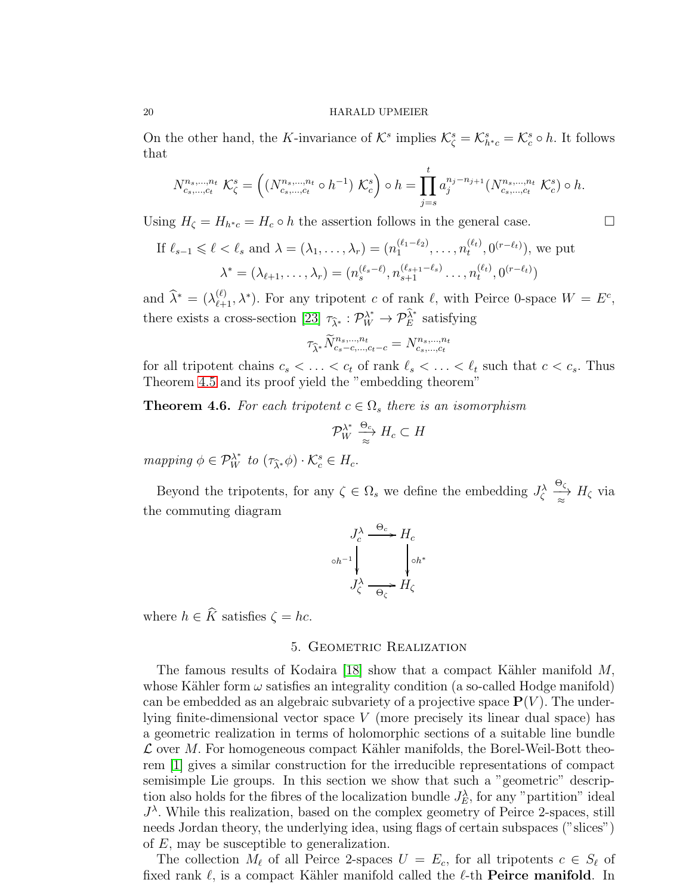On the other hand, the K-invariance of  $\mathcal{K}^s$  implies  $\mathcal{K}^s_{\zeta} = \mathcal{K}^s_{h^*c} = \mathcal{K}^s_c \circ h$ . It follows that

$$
N_{c_s,\dots,c_t}^{n_s,\dots,n_t} \mathcal{K}_{\zeta}^s = \left( \left( N_{c_s,\dots,c_t}^{n_s,\dots,n_t} \circ h^{-1} \right) \mathcal{K}_{c}^s \right) \circ h = \prod_{j=s}^t a_j^{n_j - n_{j+1}} \left( N_{c_s,\dots,c_t}^{n_s,\dots,n_t} \mathcal{K}_{c}^s \right) \circ h.
$$

Using  $H_{\zeta} = H_{h^*c} = H_c \circ h$  the assertion follows in the general case.

If 
$$
\ell_{s-1} \le \ell < \ell_s
$$
 and  $\lambda = (\lambda_1, ..., \lambda_r) = (n_1^{(\ell_1 - \ell_2)}, ..., n_t^{(\ell_t)}, 0^{(r - \ell_t)}),$  we put  
\n
$$
\lambda^* = (\lambda_{\ell+1}, ..., \lambda_r) = (n_s^{(\ell_s - \ell)}, n_{s+1}^{(\ell_{s+1} - \ell_s)} ..., n_t^{(\ell_t)}, 0^{(r - \ell_t)})
$$

and  $\widehat{\lambda}^* = (\lambda_{\ell+1}^{(\ell)}, \lambda^*)$ . For any tripotent c of rank  $\ell$ , with Peirce 0-space  $W = E^c$ , there exists a cross-section [\[23\]](#page-26-0)  $\tau_{\hat{\lambda}^*}: \mathcal{P}_W^{\lambda^*} \to \mathcal{P}_E^{\hat{\lambda}^*}$  satisfying

$$
\tau_{\widehat{\lambda}^*} \widetilde{N}^{n_s,\dots,n_t}_{c_s-c,\dots,c_t-c} = N^{n_s,\dots,n_t}_{c_s,\dots,c_t}
$$

for all tripotent chains  $c_s < \ldots < c_t$  of rank  $\ell_s < \ldots < \ell_t$  such that  $c < c_s$ . Thus Theorem [4.5](#page-18-0) and its proof yield the "embedding theorem"

**Theorem 4.6.** For each tripotent  $c \in \Omega_s$  there is an isomorphism

$$
\mathcal{P}_W^{\lambda^*} \xrightarrow[\approx]{\Theta_c} H_c \subset H
$$

mapping  $\phi \in \mathcal{P}_W^{\lambda^*}$  to  $(\tau_{\widehat{\lambda}^*} \phi) \cdot \mathcal{K}_c^s \in H_c$ .

Beyond the tripotents, for any  $\zeta \in \Omega_s$  we define the embedding  $J_{\zeta}^{\lambda}$ Θ<sup>ζ</sup>  $\Rightarrow_{\approx} H_{\zeta}$  via the commuting diagram

$$
J_c^{\lambda} \xrightarrow{\Theta_c} H_c
$$
  

$$
J_c^{\lambda} \xrightarrow{\Theta_c} H_{\zeta}
$$
  

$$
J_c^{\lambda} \xrightarrow{\Theta_c} H_{\zeta}
$$

where  $h \in \widehat{K}$  satisfies  $\zeta = hc$ .

### 5. Geometric Realization

The famous results of Kodaira [\[18\]](#page-25-15) show that a compact Kähler manifold  $M$ , whose Kähler form  $\omega$  satisfies an integrality condition (a so-called Hodge manifold) can be embedded as an algebraic subvariety of a projective space  $P(V)$ . The underlying finite-dimensional vector space V (more precisely its linear dual space) has a geometric realization in terms of holomorphic sections of a suitable line bundle  $\mathcal L$  over M. For homogeneous compact Kähler manifolds, the Borel-Weil-Bott theorem [\[1\]](#page-25-16) gives a similar construction for the irreducible representations of compact semisimple Lie groups. In this section we show that such a "geometric" description also holds for the fibres of the localization bundle  $J_E^{\lambda}$ , for any "partition" ideal  $J^{\lambda}$ . While this realization, based on the complex geometry of Peirce 2-spaces, still needs Jordan theory, the underlying idea, using flags of certain subspaces ("slices") of E, may be susceptible to generalization.

The collection  $M_{\ell}$  of all Peirce 2-spaces  $U = E_c$ , for all tripotents  $c \in S_{\ell}$  of fixed rank  $\ell$ , is a compact Kähler manifold called the  $\ell$ -th **Peirce manifold**. In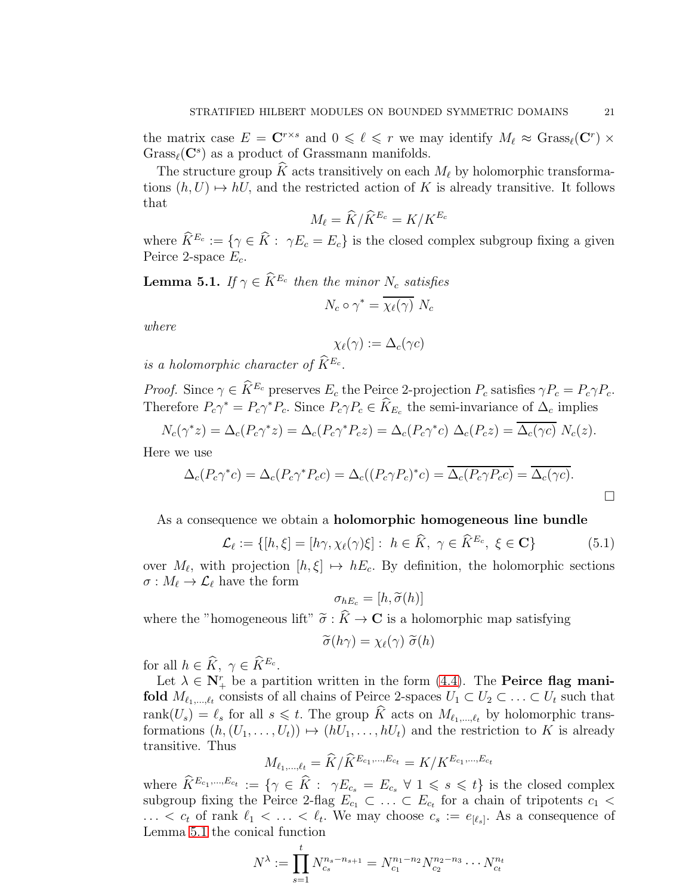the matrix case  $E = \mathbf{C}^{r \times s}$  and  $0 \leq \ell \leq r$  we may identify  $M_{\ell} \approx \text{Grass}_{\ell}(\mathbf{C}^{r}) \times$  $Grass_{\ell}(\mathbf{C}^s)$  as a product of Grassmann manifolds.

The structure group K acts transitively on each  $M_{\ell}$  by holomorphic transformations  $(h, U) \mapsto hU$ , and the restricted action of K is already transitive. It follows that

$$
M_{\ell} = \widehat{K}/\widehat{K}^{E_c} = K/K^{E_c}
$$

where  $\hat{K}^{E_c} := \{ \gamma \in \hat{K} : \gamma E_c = E_c \}$  is the closed complex subgroup fixing a given Peirce 2-space  $E_c$ .

<span id="page-20-0"></span>**Lemma 5.1.** If  $\gamma \in \widetilde{K}^{E_c}$  then the minor  $N_c$  satisfies

$$
N_c \circ \gamma^* = \overline{\chi_{\ell}(\gamma)} N_c
$$

where

$$
\chi_\ell(\gamma):=\Delta_c(\gamma c)
$$

is a holomorphic character of  $\widetilde{K}^{E_c}$ .

*Proof.* Since  $\gamma \in \widehat{K}^{E_c}$  preserves  $E_c$  the Peirce 2-projection  $P_c$  satisfies  $\gamma P_c = P_c \gamma P_c$ . Therefore  $P_c\gamma^* = P_c\gamma^*P_c$ . Since  $P_c\gamma P_c \in \hat{K}_{E_c}$  the semi-invariance of  $\Delta_c$  implies

$$
N_c(\gamma^* z) = \Delta_c(P_c \gamma^* z) = \Delta_c(P_c \gamma^* P_c z) = \Delta_c(P_c \gamma^* c) \Delta_c(P_c z) = \overline{\Delta_c(\gamma c)} N_c(z).
$$

Here we use

$$
\Delta_c(P_c\gamma^*c) = \Delta_c(P_c\gamma^*P_c c) = \Delta_c((P_c\gamma P_c)^*c) = \overline{\Delta_c(P_c\gamma P_c c)} = \overline{\Delta_c(\gamma c)}.
$$

As a consequence we obtain a holomorphic homogeneous line bundle

<span id="page-20-1"></span>
$$
\mathcal{L}_{\ell} := \{ [h, \xi] = [h\gamma, \chi_{\ell}(\gamma)\xi] : h \in \widehat{K}, \ \gamma \in \widehat{K}^{E_c}, \ \xi \in \mathbf{C} \}
$$
(5.1)

over  $M_{\ell}$ , with projection  $[h,\xi] \mapsto hE_c$ . By definition, the holomorphic sections  $\sigma : M_{\ell} \to \mathcal{L}_{\ell}$  have the form

$$
\sigma_{hE_c} = [h, \widetilde{\sigma}(h)]
$$

where the "homogeneous lift"  $\widetilde{\sigma}: K \to \mathbf{C}$  is a holomorphic map satisfying

$$
\widetilde{\sigma}(h\gamma) = \chi_{\ell}(\gamma) \; \widetilde{\sigma}(h)
$$

for all  $h \in \widehat{K}$ ,  $\gamma \in \widehat{K}^{E_c}$ .

Let  $\lambda \in \mathbb{N}_{+}^{r}$  be a partition written in the form  $(4.4)$ . The **Peirce flag mani**fold  $M_{\ell_1,\ldots,\ell_t}$  consists of all chains of Peirce 2-spaces  $U_1 \subset U_2 \subset \ldots \subset U_t$  such that rank $(U_s) = \ell_s$  for all  $s \leq t$ . The group  $\hat{K}$  acts on  $M_{\ell_1,\dots,\ell_t}$  by holomorphic transformations  $(h,(U_1,\ldots,U_t)) \mapsto (hU_1,\ldots,hU_t)$  and the restriction to K is already transitive. Thus

$$
M_{\ell_1,\dots,\ell_t} = \widehat{K}/\widehat{K}^{E_{c_1},\dots,E_{c_t}} = K/K^{E_{c_1},\dots,E_{c_t}}
$$

where  $\hat{K}^{E_{c_1},...,E_{c_t}} := \{ \gamma \in \hat{K} : \gamma E_{c_s} = E_{c_s} \ \forall \ 1 \leq s \leq t \}$  is the closed complex subgroup fixing the Peirce 2-flag  $E_{c_1} \subset \ldots \subset E_{c_t}$  for a chain of tripotents  $c_1 <$  $\ldots < c_t$  of rank  $\ell_1 < \ldots < \ell_t$ . We may choose  $c_s := e_{[\ell_s]}$ . As a consequence of Lemma [5.1](#page-20-0) the conical function

$$
N^{\lambda} := \prod_{s=1}^{t} N_{c_s}^{n_s - n_{s+1}} = N_{c_1}^{n_1 - n_2} N_{c_2}^{n_2 - n_3} \cdots N_{c_t}^{n_t}
$$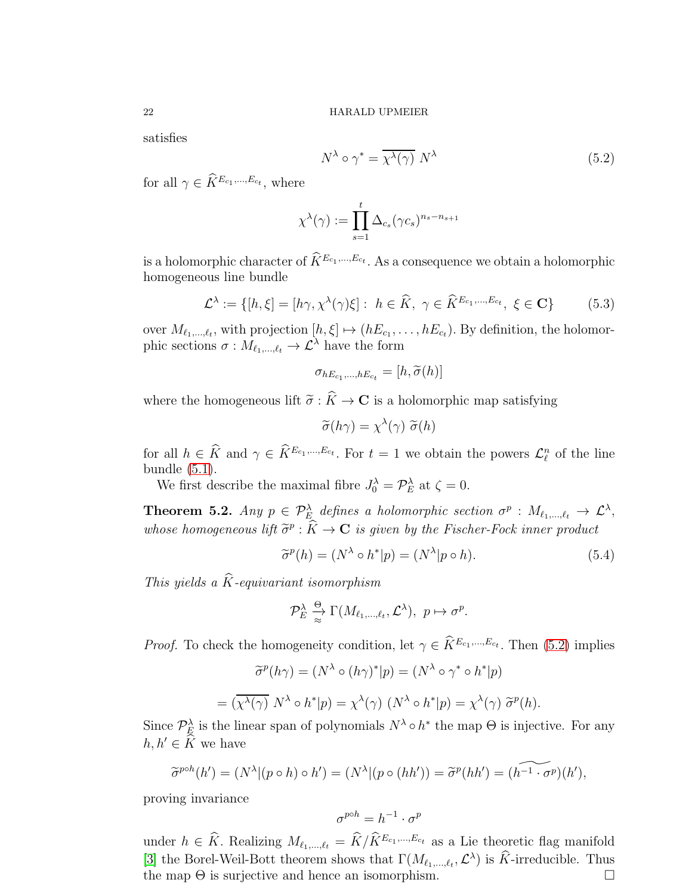satisfies

<span id="page-21-0"></span>
$$
N^{\lambda} \circ \gamma^* = \overline{\chi^{\lambda}(\gamma)} N^{\lambda}
$$
 (5.2)

for all  $\gamma \in \hat{K}^{E_{c_1},...,E_{c_t}}$ , where

$$
\chi^{\lambda}(\gamma) := \prod_{s=1}^{t} \Delta_{c_s}(\gamma c_s)^{n_s - n_{s+1}}
$$

is a holomorphic character of  $\widetilde{K}^{E_{c_1},...,E_{c_t}}$ . As a consequence we obtain a holomorphic homogeneous line bundle

<span id="page-21-2"></span>
$$
\mathcal{L}^{\lambda} := \{ [h, \xi] = [h\gamma, \chi^{\lambda}(\gamma)\xi] : h \in \widehat{K}, \ \gamma \in \widehat{K}^{E_{c_1}, \dots, E_{c_t}}, \ \xi \in \mathbf{C} \}
$$
(5.3)

over  $M_{\ell_1,\ldots,\ell_t}$ , with projection  $[h,\xi] \mapsto (hE_{c_1},\ldots,hE_{c_t})$ . By definition, the holomorphic sections  $\sigma : M_{\ell_1,\dots,\ell_t} \to \mathcal{L}^{\lambda}$  have the form

$$
\sigma_{hE_{c_1},...,hE_{c_t}}=[h,\widetilde{\sigma}(h)]
$$

where the homogeneous lift  $\tilde{\sigma}$ :  $\hat{K} \to \mathbf{C}$  is a holomorphic map satisfying

$$
\widetilde{\sigma}(h\gamma) = \chi^{\lambda}(\gamma) \; \widetilde{\sigma}(h)
$$

for all  $h \in \hat{K}$  and  $\gamma \in \hat{K}^{E_{c_1},...,E_{c_t}}$ . For  $t = 1$  we obtain the powers  $\mathcal{L}_{\ell}^n$  of the line bundle  $(5.1)$ .

We first describe the maximal fibre  $J_0^{\lambda} = \mathcal{P}_E^{\lambda}$  at  $\zeta = 0$ .

<span id="page-21-3"></span>**Theorem 5.2.** Any  $p \in \mathcal{P}_{E_\lambda}^{\lambda}$  defines a holomorphic section  $\sigma^p : M_{\ell_1,\dots,\ell_t} \to \mathcal{L}^{\lambda}$ , whose homogeneous lift  $\widetilde{\sigma}^p : \widetilde{K} \to \mathbf{C}$  is given by the Fischer-Fock inner product

<span id="page-21-1"></span>
$$
\tilde{\sigma}^p(h) = (N^\lambda \circ h^*|p) = (N^\lambda|p \circ h). \tag{5.4}
$$

This yields a  $\widehat{K}$ -equivariant isomorphism

$$
\mathcal{P}_E^{\lambda} \underset{\approx}{\xrightarrow{ \Theta}} \Gamma(M_{\ell_1,\ldots,\ell_t}, \mathcal{L}^{\lambda}), \ p \mapsto \sigma^p.
$$

*Proof.* To check the homogeneity condition, let  $\gamma \in \tilde{K}^{E_{c_1},...,E_{c_t}}$ . Then [\(5.2\)](#page-21-0) implies

$$
\widetilde{\sigma}^p(h\gamma) = (N^\lambda \circ (h\gamma)^*|p) = (N^\lambda \circ \gamma^* \circ h^*|p)
$$

$$
= (\overline{\chi^\lambda(\gamma)} N^\lambda \circ h^*|p) = \chi^\lambda(\gamma) (N^\lambda \circ h^*|p) = \chi^\lambda(\gamma) \widetilde{\sigma}^p(h).
$$

Since  $\mathcal{P}_{\mathcal{L}}^{\lambda}$  is the linear span of polynomials  $N^{\lambda} \circ h^*$  the map  $\Theta$  is injective. For any  $h, h' \in \widehat{K}$  we have

$$
\widetilde{\sigma}^{p\circ h}(h') = (N^{\lambda} | (p \circ h) \circ h') = (N^{\lambda} | (p \circ (hh')) = \widetilde{\sigma}^p(hh') = (\widetilde{h^{-1} \cdot \sigma^p})(h'),
$$

proving invariance

$$
\sigma^{p \circ h} = h^{-1} \cdot \sigma^p
$$

under  $h \in \hat{K}$ . Realizing  $M_{\ell_1,\ldots,\ell_t} = \hat{K}/\hat{K}^{E_{c_1},\ldots,E_{c_t}}$  as a Lie theoretic flag manifold [\[3\]](#page-25-17) the Borel-Weil-Bott theorem shows that  $\Gamma(M_{\ell_1,\ldots,\ell_t},\mathcal{L}^{\lambda})$  is  $\hat{K}$ -irreducible. Thus the map  $\Theta$  is surjective and hence an isomorphism.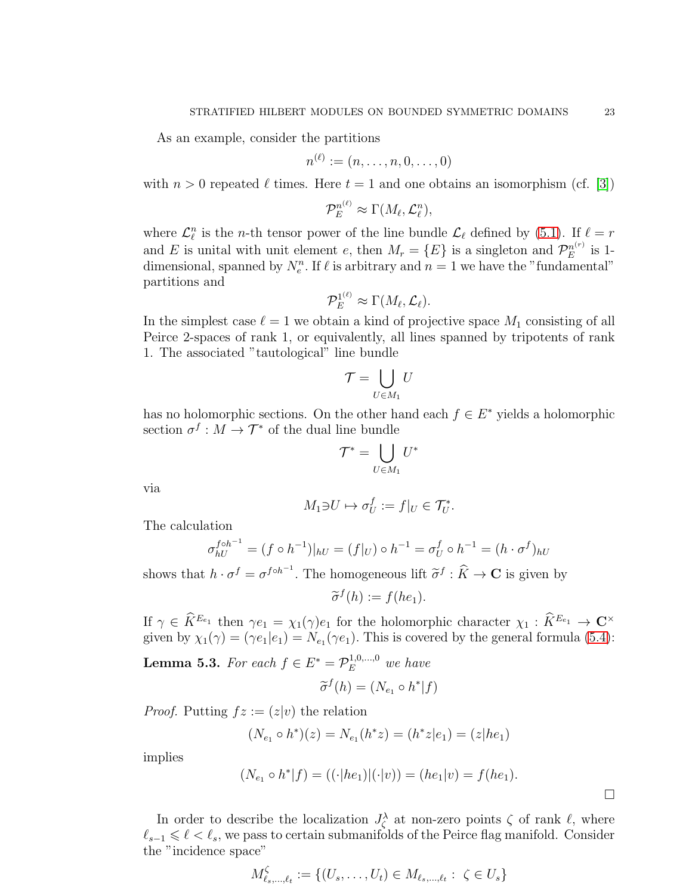As an example, consider the partitions

$$
n^{(\ell)}:=(n,\ldots,n,0,\ldots,0)
$$

with  $n > 0$  repeated  $\ell$  times. Here  $t = 1$  and one obtains an isomorphism (cf. [\[3\]](#page-25-17))

$$
\mathcal{P}_E^{n^{(\ell)}} \approx \Gamma(M_\ell, \mathcal{L}_\ell^n),
$$

where  $\mathcal{L}_{\ell}^{n}$  is the *n*-th tensor power of the line bundle  $\mathcal{L}_{\ell}$  defined by [\(5.1\)](#page-20-1). If  $\ell = r$ and E is unital with unit element e, then  $M_r = \{E\}$  is a singleton and  $\mathcal{P}_E^{n^{(r)}}$  $E^{n(r)}$  is 1dimensional, spanned by  $N_e^n$ . If  $\ell$  is arbitrary and  $n = 1$  we have the "fundamental" partitions and

$$
\mathcal{P}_E^{1^{(\ell)}} \approx \Gamma(M_\ell,\mathcal{L}_\ell).
$$

In the simplest case  $\ell = 1$  we obtain a kind of projective space  $M_1$  consisting of all Peirce 2-spaces of rank 1, or equivalently, all lines spanned by tripotents of rank 1. The associated "tautological" line bundle

$$
\mathcal{T} = \bigcup_{U \in M_1} U
$$

has no holomorphic sections. On the other hand each  $f \in E^*$  yields a holomorphic section  $\sigma^f : M \to \mathcal{T}^*$  of the dual line bundle

$$
\mathcal{T}^* = \bigcup_{U \in M_1} U^*
$$

via

$$
M_1 \ni U \mapsto \sigma_U^f := f|_U \in \mathcal{T}_U^*.
$$

The calculation

$$
\sigma_{hU}^{f \circ h^{-1}} = (f \circ h^{-1})|_{hU} = (f|_U) \circ h^{-1} = \sigma_U^f \circ h^{-1} = (h \cdot \sigma^f)_{hU}
$$

shows that  $h \cdot \sigma^f = \sigma^{f \circ h^{-1}}$ . The homogeneous lift  $\tilde{\sigma}^f : \hat{K} \to \mathbf{C}$  is given by

 $\widetilde{\sigma}^f(h) := f(he_1).$ 

If  $\gamma \in \tilde{K}^{E_{e_1}}$  then  $\gamma e_1 = \chi_1(\gamma)e_1$  for the holomorphic character  $\chi_1 : \tilde{K}^{E_{e_1}} \to \mathbb{C}^\times$ given by  $\chi_1(\gamma) = (\gamma e_1|e_1) = N_{e_1}(\gamma e_1)$ . This is covered by the general formula [\(5.4\)](#page-21-1):

**Lemma 5.3.** For each  $f \in E^* = \mathcal{P}_E^{1,0,\dots,0}$  we have

$$
\widetilde{\sigma}^f(h) = (N_{e_1} \circ h^* | f)
$$

*Proof.* Putting  $fz := (z|v)$  the relation

$$
(N_{e_1} \circ h^*)(z) = N_{e_1}(h^*z) = (h^*z|e_1) = (z|he_1)
$$

implies

$$
(N_{e_1} \circ h^* | f) = ((\cdot | he_1)|(\cdot | v)) = (he_1 | v) = f(he_1).
$$

In order to describe the localization  $J_{\zeta}^{\lambda}$  at non-zero points  $\zeta$  of rank  $\ell$ , where  $\ell_{s-1} \leq \ell \leq \ell_s$ , we pass to certain submanifolds of the Peirce flag manifold. Consider the "incidence space"

$$
M_{\ell_s, ..., \ell_t}^{\zeta} := \{ (U_s, ..., U_t) \in M_{\ell_s, ..., \ell_t} : \ \zeta \in U_s \}
$$

 $\Box$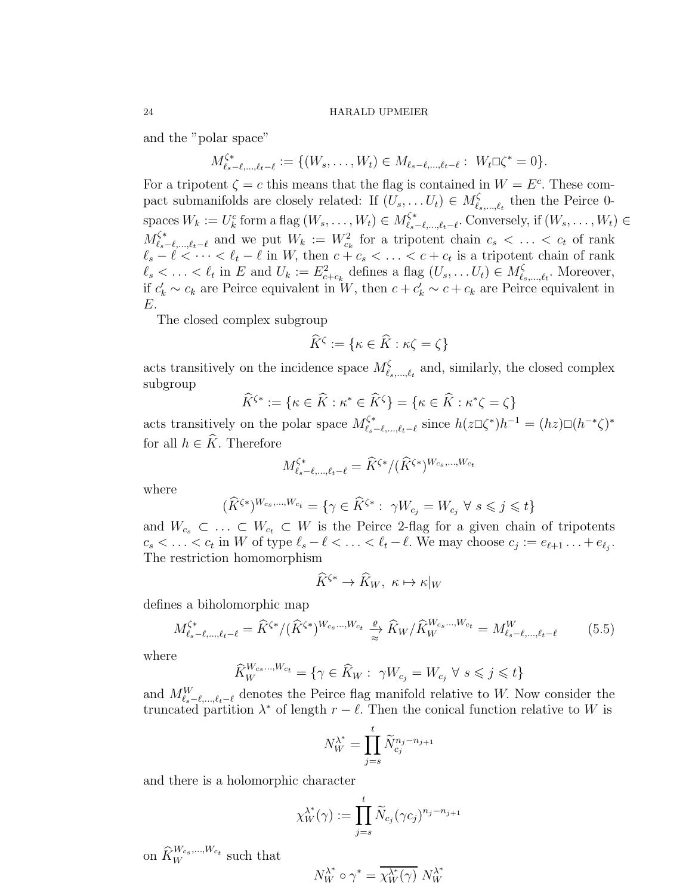and the "polar space"

$$
M_{\ell_s-\ell,\ldots,\ell_t-\ell}^{\zeta^*} := \{ (W_s,\ldots,W_t) \in M_{\ell_s-\ell,\ldots,\ell_t-\ell} : W_t \square \zeta^* = 0 \}.
$$

For a tripotent  $\zeta = c$  this means that the flag is contained in  $W = E^c$ . These compact submanifolds are closely related: If  $(U_s, \ldots U_t) \in M_{\ell_s, \ldots, \ell_t}^{\zeta}$  then the Peirce 0spaces  $W_k := U_k^c$  form a flag  $(W_s, \ldots, W_t) \in M_{\ell_s - \ell, \ldots, \ell_t - \ell}^{\zeta^*}$ . Conversely, if  $(W_s, \ldots, W_t) \in$  $M_{\ell_s-\ell,\ldots,\ell_t-\ell}^{\zeta^*}$  and we put  $W_k := W_{c_k}^2$  for a tripotent chain  $c_s < \ldots < c_t$  of rank  $\ell_s - \ell < \cdots < \ell_t - \ell$  in W, then  $c + c_s < \ldots < c + c_t$  is a tripotent chain of rank  $\ell_s < \ldots < \ell_t$  in E and  $U_k := E_{c+c_k}^2$  defines a flag  $(U_s, \ldots U_t) \in M_{\ell_s}^{\zeta}$  $\zeta_{s,\ldots,\ell_t}$ . Moreover, if  $c'_k \sim c_k$  are Peirce equivalent in W, then  $c + c'_k \sim c + c_k$  are Peirce equivalent in E.

The closed complex subgroup

$$
\widehat{K}^{\zeta} := \{ \kappa \in \widehat{K} : \kappa \zeta = \zeta \}
$$

acts transitively on the incidence space  $M_{\ell_s,\dots,\ell_t}^{\zeta}$  and, similarly, the closed complex subgroup

$$
\widehat{K}^{\zeta*} := \{ \kappa \in \widehat{K} : \kappa^* \in \widehat{K}^{\zeta} \} = \{ \kappa \in \widehat{K} : \kappa^* \zeta = \zeta \}
$$

acts transitively on the polar space  $M_{\ell_s-\ell,\dots,\ell_t-\ell}^{\zeta^*}$  since  $h(z\Box\zeta^*)h^{-1} = (hz)\Box(h^{-*}\zeta)^*$ for all  $h \in \widehat{K}$ . Therefore

$$
M^{\zeta*}_{\ell_s-\ell,\ldots,\ell_t-\ell}=\widehat{K}^{\zeta*}/(\widehat{K}^{\zeta*})^{W_{cs},\ldots,W_{ct}}
$$

where

$$
(\widehat{K}^{\zeta*})^{W_{c_s},\dots,W_{c_t}} = \{ \gamma \in \widehat{K}^{\zeta*} : \ \gamma W_{c_j} = W_{c_j} \ \forall \ s \leqslant j \leqslant t \}
$$

and  $W_{c_s} \subset \ldots \subset W_{c_t} \subset W$  is the Peirce 2-flag for a given chain of tripotents  $c_s < \ldots < c_t$  in W of type  $\ell_s - \ell < \ldots < \ell_t - \ell$ . We may choose  $c_j := e_{\ell+1} \ldots + e_{\ell_j}$ . The restriction homomorphism

$$
\widehat{K}^{\zeta*} \to \widehat{K}_W, \ \kappa \mapsto \kappa|_W
$$

defines a biholomorphic map

<span id="page-23-0"></span>
$$
M_{\ell_s-\ell,...,\ell_t-\ell}^{\zeta^*} = \hat{K}^{\zeta^*}/(\hat{K}^{\zeta^*})^{W_{cs}...,W_{c_t}} \xrightarrow{\varrho} \hat{K}_W/\hat{K}_W^{W_{cs}...,W_{c_t}} = M_{\ell_s-\ell,...,\ell_t-\ell}^W
$$
(5.5)

where

$$
\widehat{K}_W^{W_{c_s}\dots,W_{c_t}} = \{ \gamma \in \widehat{K}_W : \ \gamma W_{c_j} = W_{c_j} \ \forall \ s \leqslant j \leqslant t \}
$$

and  $M_{\ell_s-\ell,\ldots,\ell_t-\ell}^W$  denotes the Peirce flag manifold relative to W. Now consider the truncated partition  $\lambda^*$  of length  $r - \ell$ . Then the conical function relative to W is

$$
N_W^{\lambda^*} = \prod_{j=s}^t \widetilde{N}_{c_j}^{n_j - n_{j+1}}
$$

and there is a holomorphic character

$$
\chi_W^{\lambda^*}(\gamma) := \prod_{j=s}^t \widetilde{N}_{c_j}(\gamma c_j)^{n_j - n_{j+1}}
$$

on  $\widehat{K}_W^{W_{c_s},...,W_{c_t}}$  such that

$$
N^{\lambda^*}_W\circ\gamma^*=\overline{\chi^{\lambda^*}_W(\gamma)}\ N^{\lambda^*}_W
$$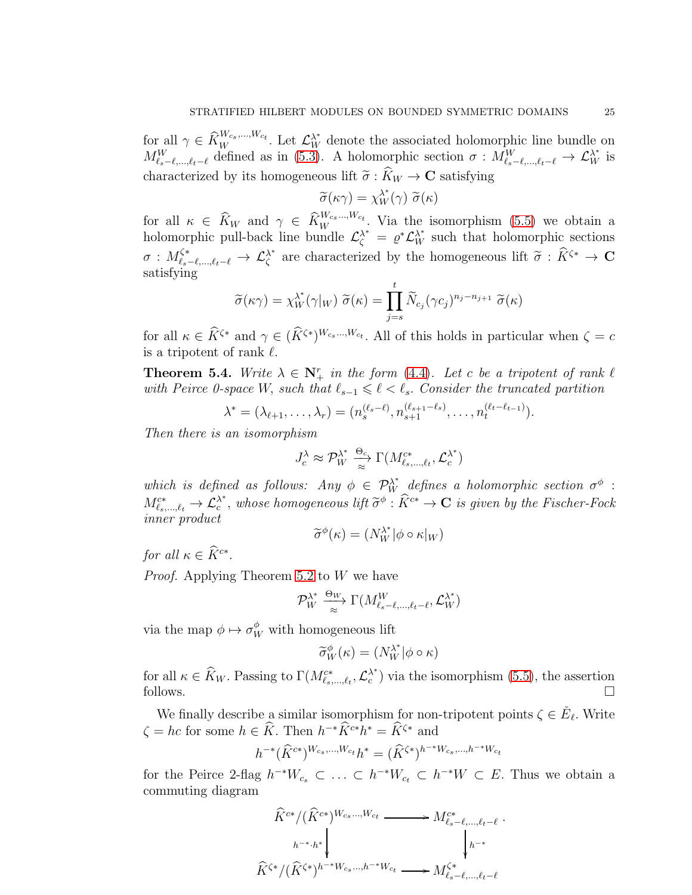for all  $\gamma \in \widehat{K}_{W}^{W_{c_s},...,W_{c_t}}$ . Let  $\mathcal{L}_{W}^{\lambda^*}$  denote the associated holomorphic line bundle on  $M_{\ell_s-\ell,\ldots,\ell_t-\ell}^W$  defined as in [\(5.3\)](#page-21-2). A holomorphic section  $\sigma : M_{\ell_s-\ell,\ldots,\ell_t-\ell}^W \to \mathcal{L}_W^{\lambda^*}$  is characterized by its homogeneous lift  $\tilde{\sigma} : \hat{K}_W \to \mathbf{C}$  satisfying

$$
\widetilde{\sigma}(\kappa \gamma) = \chi_W^{\lambda^*}(\gamma) \ \widetilde{\sigma}(\kappa)
$$

for all  $\kappa \in \widehat{K}_W$  and  $\gamma \in \widehat{K}_W^{W_{c_s} \dots W_{c_t}}$ . Via the isomorphism [\(5.5\)](#page-23-0) we obtain a holomorphic pull-back line bundle  $\mathcal{L}^{\lambda^*}_{\zeta} = \varrho^* \mathcal{L}^{\lambda^*}_{W}$  such that holomorphic sections  $\sigma: M_{\ell_s-\ell,\dots,\ell_t-\ell}^{\zeta*}\to \mathcal{L}_{\zeta}^{\lambda^*}$  $\lambda^*$  are characterized by the homogeneous lift  $\tilde{\sigma}$  :  $\tilde{K}^{\zeta*} \to \mathbf{C}$ satisfying

$$
\widetilde{\sigma}(\kappa \gamma) = \chi_W^{\lambda^*}(\gamma|_W) \ \widetilde{\sigma}(\kappa) = \prod_{j=s}^t \widetilde{N}_{c_j}(\gamma c_j)^{n_j - n_{j+1}} \ \widetilde{\sigma}(\kappa)
$$

for all  $\kappa \in \tilde{K}^{\zeta*}$  and  $\gamma \in (\tilde{K}^{\zeta*})^{W_{cs},...,W_{ct}}$ . All of this holds in particular when  $\zeta = c$ is a tripotent of rank  $\ell$ .

**Theorem 5.4.** Write  $\lambda \in \mathbb{N}_{+}^{r}$  in the form [\(4.4\)](#page-15-1). Let c be a tripotent of rank  $\ell$ with Peirce 0-space W, such that  $\ell_{s-1} \leq \ell < \ell_s$ . Consider the truncated partition

$$
\lambda^* = (\lambda_{\ell+1}, \ldots, \lambda_r) = (n_s^{(\ell_s - \ell)}, n_{s+1}^{(\ell_{s+1} - \ell_s)}, \ldots, n_t^{(\ell_t - \ell_{t-1})}).
$$

Then there is an isomorphism

$$
J_c^{\lambda} \approx \mathcal{P}_W^{\lambda^*} \xrightarrow[\approx]{\Theta_c} \Gamma(M_{\ell_s,\ldots,\ell_t}^{c^*}, \mathcal{L}_c^{\lambda^*})
$$

which is defined as follows: Any  $\phi \in \mathcal{P}_W^{\lambda^*}$  defines a holomorphic section  $\sigma^{\phi}$ :  $M^{c\ast}_{\ell_s,\ldots,\ell_t}\to \mathcal{L}_c^{\lambda^*}$  $\stackrel{\lambda^*}{\longrightarrow}$ , whose homogeneous lift  $\widetilde{\sigma}^\phi:\widetilde{K}^{c*}\to {\bf C}$  is given by the Fischer-Fock inner product ∗

$$
\widetilde{\sigma}^{\phi}(\kappa) = (N_W^{\lambda^*} | \phi \circ \kappa|_W)
$$

for all  $\kappa \in \widetilde{K}^{c*}$ .

Proof. Applying Theorem [5.2](#page-21-3) to W we have

$$
\mathcal{P}^{\lambda^*}_{W} \xrightarrow[\approx]{\Theta_W} \Gamma(M_{\ell_s-\ell,\ldots,\ell_t-\ell}^W, \mathcal{L}_W^{\lambda^*})
$$

via the map  $\phi \mapsto \sigma_W^{\phi}$  with homogeneous lift

$$
\widetilde{\sigma}_W^{\phi}(\kappa) = (N_W^{\lambda^*} | \phi \circ \kappa)
$$

for all  $\kappa \in \widehat{K}_W$ . Passing to  $\Gamma(M_{\ell_s,\ldots,\ell_t}^{c^*}, \mathcal{L}_c^{\lambda^*})$  $\lambda^*$ ) via the isomorphism [\(5.5\)](#page-23-0), the assertion follows.  $\Box$ 

We finally describe a similar isomorphism for non-tripotent points  $\zeta \in \check{E}_{\ell}$ . Write  $\zeta = hc$  for some  $h \in \hat{K}$ . Then  $h^{-*}\hat{K}^{c*}h^* = \hat{K}^{\zeta*}$  and

$$
h^{-*}(\widehat{K}^{c*})^{W_{c_s},...,W_{c_t}}h^* = (\widehat{K}^{\zeta*})^{h^{-*}W_{c_s},...,h^{-*}W_{c_t}}
$$

for the Peirce 2-flag  $h^{-*}W_{c_s} \subset \ldots \subset h^{-*}W_{c_t} \subset h^{-*}W \subset E$ . Thus we obtain a commuting diagram

$$
\widehat{K}^{c*}/(\widehat{K}^{c*})^{W_{c_s} \dots, W_{c_t}} \longrightarrow M_{\ell_s-\ell,\dots,\ell_t-\ell}^{c*}.
$$
\n
$$
\widehat{K}^{\zeta*}/(\widehat{K}^{\zeta*})^{h^{-*}W_{c_s} \dots, h^{-*}W_{c_t}} \longrightarrow M_{\ell_s-\ell,\dots,\ell_t-\ell}^{\zeta*}
$$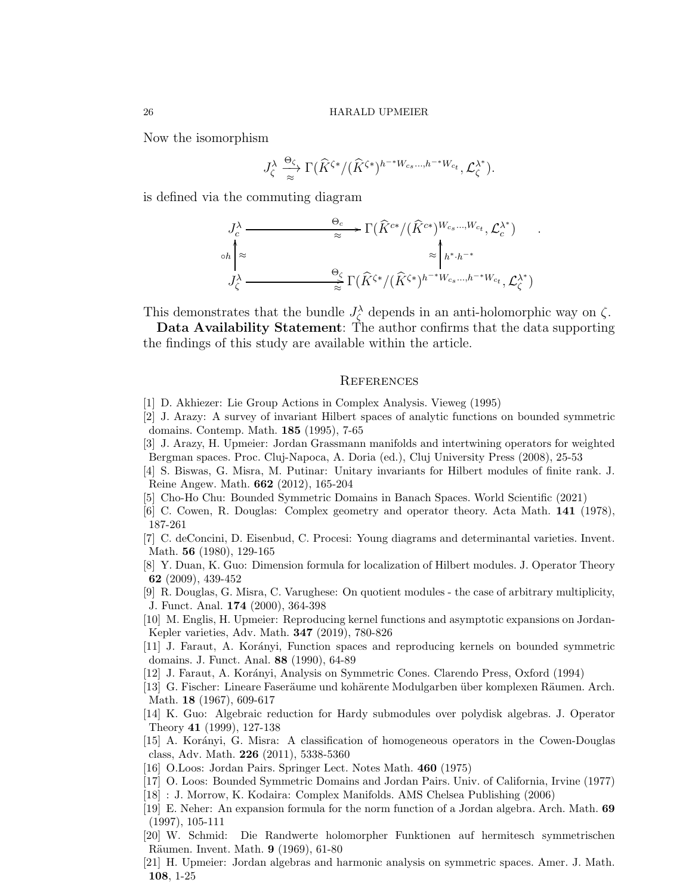Now the isomorphism

$$
J_{\zeta}^{\lambda} \stackrel{\Theta_{\zeta}}{\underset{\approx}{\longrightarrow}} \Gamma(\widehat{K}^{\zeta*}/(\widehat{K}^{\zeta*})^{h^{-*}W_{c_s}\ldots,h^{-*}W_{c_t}},\mathcal{L}_{\zeta}^{\lambda^*}).
$$

is defined via the commuting diagram

$$
J_c^{\lambda} \xrightarrow{\Theta_c} \Gamma(\widehat{K}^{c*}/(\widehat{K}^{c*})^{W_{c_s}\dots,W_{c_t}}, \mathcal{L}_c^{\lambda^*})
$$
  
\n
$$
\circ h \uparrow \approx \qquad \qquad \approx \qquad \qquad \sim \qquad \sim \mathcal{L}_{\zeta} h^{*,h^{-*}}
$$
  
\n
$$
J_c^{\lambda} \xrightarrow{\Theta_c} \Gamma(\widehat{K}^{\zeta*}/(\widehat{K}^{\zeta*})^{h^{-*}W_{c_s}\dots,h^{-*}W_{c_t}}, \mathcal{L}_c^{\lambda^*})
$$

This demonstrates that the bundle  $J_{\zeta}^{\lambda}$  depends in an anti-holomorphic way on  $\zeta$ .

Data Availability Statement: The author confirms that the data supporting the findings of this study are available within the article.

### **REFERENCES**

- <span id="page-25-16"></span><span id="page-25-5"></span>[1] D. Akhiezer: Lie Group Actions in Complex Analysis. Vieweg (1995)
- [2] J. Arazy: A survey of invariant Hilbert spaces of analytic functions on bounded symmetric domains. Contemp. Math. 185 (1995), 7-65
- <span id="page-25-17"></span>[3] J. Arazy, H. Upmeier: Jordan Grassmann manifolds and intertwining operators for weighted Bergman spaces. Proc. Cluj-Napoca, A. Doria (ed.), Cluj University Press (2008), 25-53
- <span id="page-25-4"></span>[4] S. Biswas, G. Misra, M. Putinar: Unitary invariants for Hilbert modules of finite rank. J. Reine Angew. Math. 662 (2012), 165-204
- <span id="page-25-6"></span><span id="page-25-0"></span>[5] Cho-Ho Chu: Bounded Symmetric Domains in Banach Spaces. World Scientific (2021)
- <span id="page-25-13"></span>[6] C. Cowen, R. Douglas: Complex geometry and operator theory. Acta Math. 141 (1978), 187-261
- [7] C. deConcini, D. Eisenbud, C. Procesi: Young diagrams and determinantal varieties. Invent. Math. 56 (1980), 129-165
- <span id="page-25-2"></span>[8] Y. Duan, K. Guo: Dimension formula for localization of Hilbert modules. J. Operator Theory 62 (2009), 439-452
- <span id="page-25-1"></span>[9] R. Douglas, G. Misra, C. Varughese: On quotient modules - the case of arbitrary multiplicity, J. Funct. Anal. 174 (2000), 364-398
- [10] M. Englis, H. Upmeier: Reproducing kernel functions and asymptotic expansions on Jordan-Kepler varieties, Adv. Math. 347 (2019), 780-826
- <span id="page-25-11"></span>[11] J. Faraut, A. Korányi, Function spaces and reproducing kernels on bounded symmetric domains. J. Funct. Anal. 88 (1990), 64-89
- <span id="page-25-7"></span><span id="page-25-3"></span>[12] J. Faraut, A. Kor´anyi, Analysis on Symmetric Cones. Clarendo Press, Oxford (1994)
- [13] G. Fischer: Lineare Faseräume und kohärente Modulgarben über komplexen Räumen. Arch. Math. 18 (1967), 609-617
- [14] K. Guo: Algebraic reduction for Hardy submodules over polydisk algebras. J. Operator Theory 41 (1999), 127-138
- [15] A. Kor´anyi, G. Misra: A classification of homogeneous operators in the Cowen-Douglas class, Adv. Math. 226 (2011), 5338-5360
- <span id="page-25-12"></span><span id="page-25-8"></span>[16] O.Loos: Jordan Pairs. Springer Lect. Notes Math. 460 (1975)
- <span id="page-25-15"></span>[17] O. Loos: Bounded Symmetric Domains and Jordan Pairs. Univ. of California, Irvine (1977)
- <span id="page-25-14"></span>[18] : J. Morrow, K. Kodaira: Complex Manifolds. AMS Chelsea Publishing (2006)
- [19] E. Neher: An expansion formula for the norm function of a Jordan algebra. Arch. Math. 69 (1997), 105-111
- <span id="page-25-10"></span>[20] W. Schmid: Die Randwerte holomorpher Funktionen auf hermitesch symmetrischen Räumen. Invent. Math. 9 (1969), 61-80
- <span id="page-25-9"></span>[21] H. Upmeier: Jordan algebras and harmonic analysis on symmetric spaces. Amer. J. Math. 108, 1-25